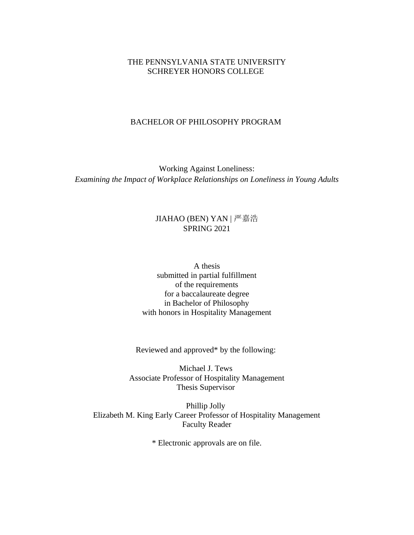## THE PENNSYLVANIA STATE UNIVERSITY SCHREYER HONORS COLLEGE

### BACHELOR OF PHILOSOPHY PROGRAM

Working Against Loneliness: *Examining the Impact of Workplace Relationships on Loneliness in Young Adults*

# JIAHAO (BEN) YAN | 严嘉浩 SPRING 2021

A thesis submitted in partial fulfillment of the requirements for a baccalaureate degree in Bachelor of Philosophy with honors in Hospitality Management

Reviewed and approved\* by the following:

Michael J. Tews Associate Professor of Hospitality Management Thesis Supervisor

Phillip Jolly Elizabeth M. King Early Career Professor of Hospitality Management Faculty Reader

\* Electronic approvals are on file.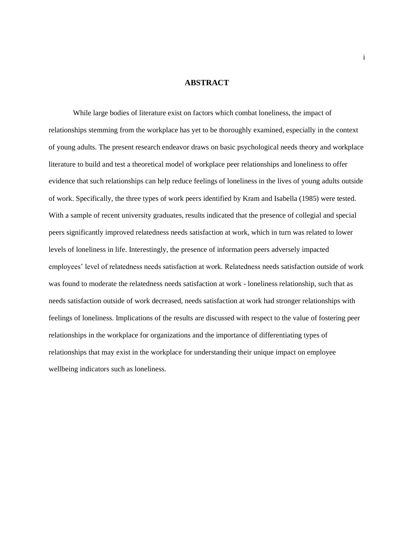#### **ABSTRACT**

While large bodies of literature exist on factors which combat loneliness, the impact of relationships stemming from the workplace has yet to be thoroughly examined, especially in the context of young adults. The present research endeavor draws on basic psychological needs theory and workplace literature to build and test a theoretical model of workplace peer relationships and loneliness to offer evidence that such relationships can help reduce feelings of loneliness in the lives of young adults outside of work. Specifically, the three types of work peers identified by Kram and Isabella (1985) were tested. With a sample of recent university graduates, results indicated that the presence of collegial and special peers significantly improved relatedness needs satisfaction at work, which in turn was related to lower levels of loneliness in life. Interestingly, the presence of information peers adversely impacted employees' level of relatedness needs satisfaction at work. Relatedness needs satisfaction outside of work was found to moderate the relatedness needs satisfaction at work - loneliness relationship, such that as needs satisfaction outside of work decreased, needs satisfaction at work had stronger relationships with feelings of loneliness. Implications of the results are discussed with respect to the value of fostering peer relationships in the workplace for organizations and the importance of differentiating types of relationships that may exist in the workplace for understanding their unique impact on employee wellbeing indicators such as loneliness.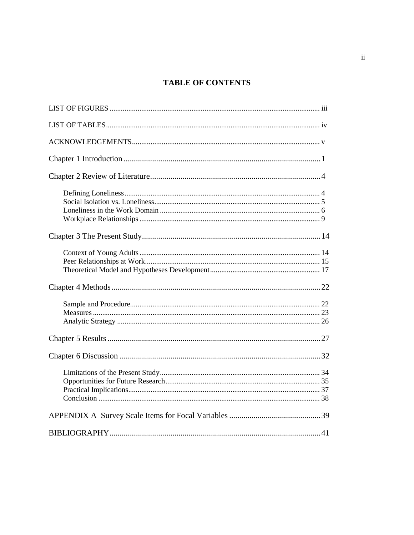# **TABLE OF CONTENTS**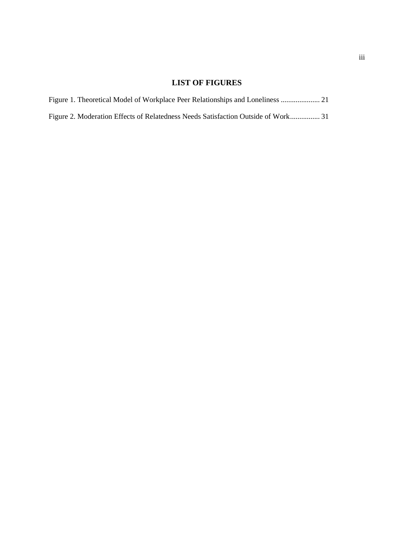# **LIST OF FIGURES**

| Figure 1. Theoretical Model of Workplace Peer Relationships and Loneliness  21    |  |  |  |  |
|-----------------------------------------------------------------------------------|--|--|--|--|
| Figure 2. Moderation Effects of Relatedness Needs Satisfaction Outside of Work 31 |  |  |  |  |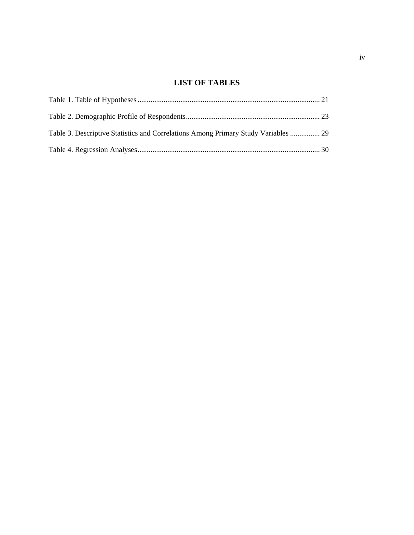# **LIST OF TABLES**

| Table 3. Descriptive Statistics and Correlations Among Primary Study Variables  29 |  |
|------------------------------------------------------------------------------------|--|
|                                                                                    |  |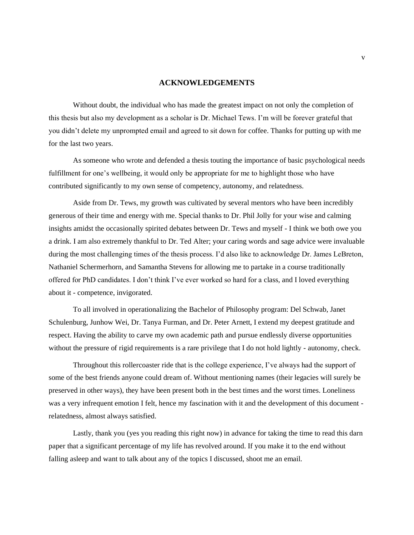#### **ACKNOWLEDGEMENTS**

Without doubt, the individual who has made the greatest impact on not only the completion of this thesis but also my development as a scholar is Dr. Michael Tews. I'm will be forever grateful that you didn't delete my unprompted email and agreed to sit down for coffee. Thanks for putting up with me for the last two years.

As someone who wrote and defended a thesis touting the importance of basic psychological needs fulfillment for one's wellbeing, it would only be appropriate for me to highlight those who have contributed significantly to my own sense of competency, autonomy, and relatedness.

Aside from Dr. Tews, my growth was cultivated by several mentors who have been incredibly generous of their time and energy with me. Special thanks to Dr. Phil Jolly for your wise and calming insights amidst the occasionally spirited debates between Dr. Tews and myself - I think we both owe you a drink. I am also extremely thankful to Dr. Ted Alter; your caring words and sage advice were invaluable during the most challenging times of the thesis process. I'd also like to acknowledge Dr. James LeBreton, Nathaniel Schermerhorn, and Samantha Stevens for allowing me to partake in a course traditionally offered for PhD candidates. I don't think I've ever worked so hard for a class, and I loved everything about it - competence, invigorated.

To all involved in operationalizing the Bachelor of Philosophy program: Del Schwab, Janet Schulenburg, Junhow Wei, Dr. Tanya Furman, and Dr. Peter Arnett, I extend my deepest gratitude and respect. Having the ability to carve my own academic path and pursue endlessly diverse opportunities without the pressure of rigid requirements is a rare privilege that I do not hold lightly - autonomy, check.

Throughout this rollercoaster ride that is the college experience, I've always had the support of some of the best friends anyone could dream of. Without mentioning names (their legacies will surely be preserved in other ways), they have been present both in the best times and the worst times. Loneliness was a very infrequent emotion I felt, hence my fascination with it and the development of this document relatedness, almost always satisfied.

Lastly, thank you (yes you reading this right now) in advance for taking the time to read this darn paper that a significant percentage of my life has revolved around. If you make it to the end without falling asleep and want to talk about any of the topics I discussed, shoot me an email.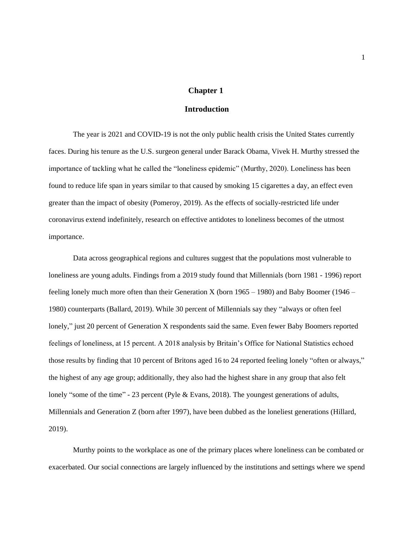### **Chapter 1**

### **Introduction**

<span id="page-6-0"></span>The year is 2021 and COVID-19 is not the only public health crisis the United States currently faces. During his tenure as the U.S. surgeon general under Barack Obama, Vivek H. Murthy stressed the importance of tackling what he called the "loneliness epidemic" (Murthy, 2020). Loneliness has been found to reduce life span in years similar to that caused by smoking 15 cigarettes a day, an effect even greater than the impact of obesity (Pomeroy, 2019). As the effects of socially-restricted life under coronavirus extend indefinitely, research on effective antidotes to loneliness becomes of the utmost importance.

Data across geographical regions and cultures suggest that the populations most vulnerable to loneliness are young adults. Findings from a 2019 study found that Millennials (born 1981 - 1996) report feeling lonely much more often than their Generation X (born  $1965 - 1980$ ) and Baby Boomer (1946 – 1980) counterparts (Ballard, 2019). While 30 percent of Millennials say they "always or often feel lonely," just 20 percent of Generation X respondents said the same. Even fewer Baby Boomers reported feelings of loneliness, at 15 percent. A 2018 analysis by Britain's Office for National Statistics echoed those results by finding that 10 percent of Britons aged 16 to 24 reported feeling lonely "often or always," the highest of any age group; additionally, they also had the highest share in any group that also felt lonely "some of the time" - 23 percent (Pyle & Evans, 2018). The youngest generations of adults, Millennials and Generation Z (born after 1997), have been dubbed as the loneliest generations (Hillard, 2019).

Murthy points to the workplace as one of the primary places where loneliness can be combated or exacerbated. Our social connections are largely influenced by the institutions and settings where we spend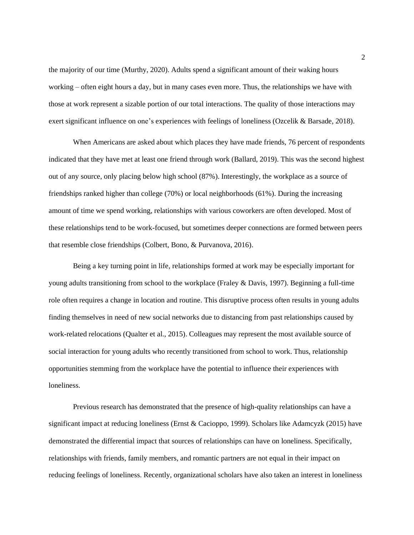the majority of our time (Murthy, 2020). Adults spend a significant amount of their waking hours working – often eight hours a day, but in many cases even more. Thus, the relationships we have with those at work represent a sizable portion of our total interactions. The quality of those interactions may exert significant influence on one's experiences with feelings of loneliness (Ozcelik & Barsade, 2018).

When Americans are asked about which places they have made friends, 76 percent of respondents indicated that they have met at least one friend through work (Ballard, 2019). This was the second highest out of any source, only placing below high school (87%). Interestingly, the workplace as a source of friendships ranked higher than college (70%) or local neighborhoods (61%). During the increasing amount of time we spend working, relationships with various coworkers are often developed. Most of these relationships tend to be work-focused, but sometimes deeper connections are formed between peers that resemble close friendships (Colbert, Bono, & Purvanova, 2016).

Being a key turning point in life, relationships formed at work may be especially important for young adults transitioning from school to the workplace (Fraley & Davis, 1997). Beginning a full-time role often requires a change in location and routine. This disruptive process often results in young adults finding themselves in need of new social networks due to distancing from past relationships caused by work-related relocations (Qualter et al., 2015). Colleagues may represent the most available source of social interaction for young adults who recently transitioned from school to work. Thus, relationship opportunities stemming from the workplace have the potential to influence their experiences with loneliness.

Previous research has demonstrated that the presence of high-quality relationships can have a significant impact at reducing loneliness (Ernst & Cacioppo, 1999). Scholars like Adamcyzk (2015) have demonstrated the differential impact that sources of relationships can have on loneliness. Specifically, relationships with friends, family members, and romantic partners are not equal in their impact on reducing feelings of loneliness. Recently, organizational scholars have also taken an interest in loneliness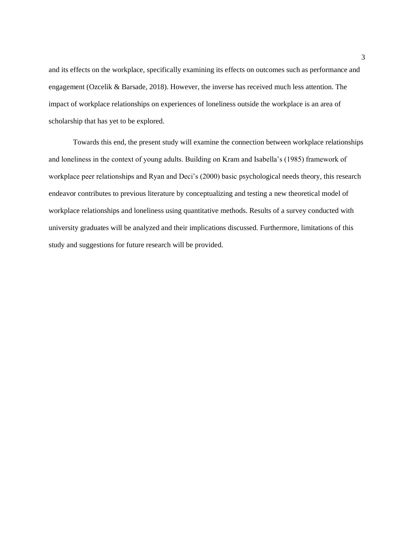and its effects on the workplace, specifically examining its effects on outcomes such as performance and engagement (Ozcelik & Barsade, 2018). However, the inverse has received much less attention. The impact of workplace relationships on experiences of loneliness outside the workplace is an area of scholarship that has yet to be explored.

Towards this end, the present study will examine the connection between workplace relationships and loneliness in the context of young adults. Building on Kram and Isabella's (1985) framework of workplace peer relationships and Ryan and Deci's (2000) basic psychological needs theory, this research endeavor contributes to previous literature by conceptualizing and testing a new theoretical model of workplace relationships and loneliness using quantitative methods. Results of a survey conducted with university graduates will be analyzed and their implications discussed. Furthermore, limitations of this study and suggestions for future research will be provided.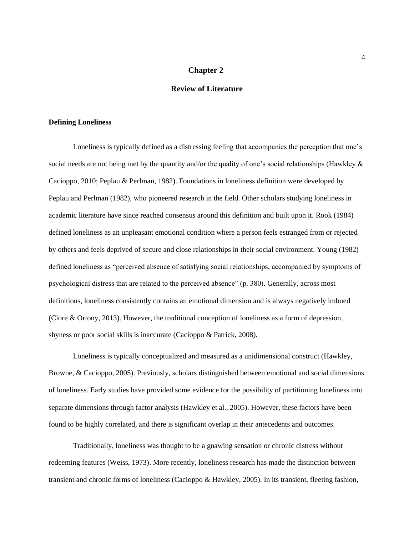### **Chapter 2**

## **Review of Literature**

### <span id="page-9-1"></span><span id="page-9-0"></span>**Defining Loneliness**

Loneliness is typically defined as a distressing feeling that accompanies the perception that one's social needs are not being met by the quantity and/or the quality of one's social relationships (Hawkley & Cacioppo, 2010; Peplau & Perlman, 1982). Foundations in loneliness definition were developed by Peplau and Perlman (1982), who pioneered research in the field. Other scholars studying loneliness in academic literature have since reached consensus around this definition and built upon it. Rook (1984) defined loneliness as an unpleasant emotional condition where a person feels estranged from or rejected by others and feels deprived of secure and close relationships in their social environment. Young (1982) defined loneliness as "perceived absence of satisfying social relationships, accompanied by symptoms of psychological distress that are related to the perceived absence" (p. 380). Generally, across most definitions, loneliness consistently contains an emotional dimension and is always negatively imbued (Clore & Ortony, 2013). However, the traditional conception of loneliness as a form of depression, shyness or poor social skills is inaccurate (Cacioppo & Patrick, 2008).

Loneliness is typically conceptualized and measured as a unidimensional construct (Hawkley, Browne, & Cacioppo, 2005). Previously, scholars distinguished between emotional and social dimensions of loneliness. Early studies have provided some evidence for the possibility of partitioning loneliness into separate dimensions through factor analysis (Hawkley et al., 2005). However, these factors have been found to be highly correlated, and there is significant overlap in their antecedents and outcomes.

Traditionally, loneliness was thought to be a gnawing sensation or chronic distress without redeeming features (Weiss, 1973). More recently, loneliness research has made the distinction between transient and chronic forms of loneliness (Cacioppo & Hawkley, 2005). In its transient, fleeting fashion,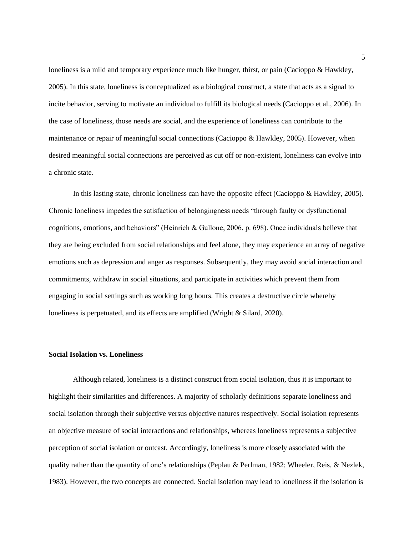loneliness is a mild and temporary experience much like hunger, thirst, or pain (Cacioppo & Hawkley, 2005). In this state, loneliness is conceptualized as a biological construct, a state that acts as a signal to incite behavior, serving to motivate an individual to fulfill its biological needs (Cacioppo et al., 2006). In the case of loneliness, those needs are social, and the experience of loneliness can contribute to the maintenance or repair of meaningful social connections (Cacioppo & Hawkley, 2005). However, when desired meaningful social connections are perceived as cut off or non-existent, loneliness can evolve into a chronic state.

In this lasting state, chronic loneliness can have the opposite effect (Cacioppo & Hawkley, 2005). Chronic loneliness impedes the satisfaction of belongingness needs "through faulty or dysfunctional cognitions, emotions, and behaviors" (Heinrich & Gullone, 2006, p. 698). Once individuals believe that they are being excluded from social relationships and feel alone, they may experience an array of negative emotions such as depression and anger as responses. Subsequently, they may avoid social interaction and commitments, withdraw in social situations, and participate in activities which prevent them from engaging in social settings such as working long hours. This creates a destructive circle whereby loneliness is perpetuated, and its effects are amplified (Wright & Silard, 2020).

#### <span id="page-10-0"></span>**Social Isolation vs. Loneliness**

Although related, loneliness is a distinct construct from social isolation, thus it is important to highlight their similarities and differences. A majority of scholarly definitions separate loneliness and social isolation through their subjective versus objective natures respectively. Social isolation represents an objective measure of social interactions and relationships, whereas loneliness represents a subjective perception of social isolation or outcast. Accordingly, loneliness is more closely associated with the quality rather than the quantity of one's relationships (Peplau & Perlman, 1982; Wheeler, Reis, & Nezlek, 1983). However, the two concepts are connected. Social isolation may lead to loneliness if the isolation is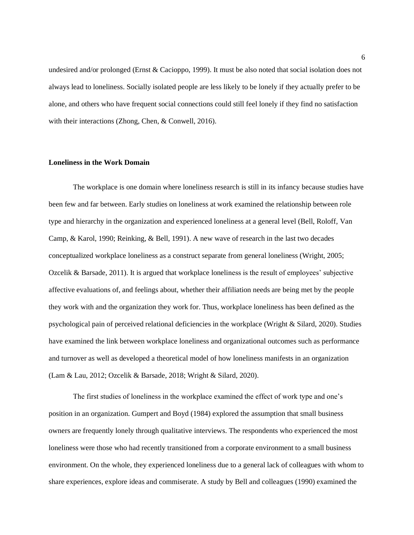undesired and/or prolonged (Ernst & Cacioppo, 1999). It must be also noted that social isolation does not always lead to loneliness. Socially isolated people are less likely to be lonely if they actually prefer to be alone, and others who have frequent social connections could still feel lonely if they find no satisfaction with their interactions (Zhong, Chen, & Conwell, 2016).

#### <span id="page-11-0"></span>**Loneliness in the Work Domain**

The workplace is one domain where loneliness research is still in its infancy because studies have been few and far between. Early studies on loneliness at work examined the relationship between role type and hierarchy in the organization and experienced loneliness at a general level (Bell, Roloff, Van Camp, & Karol, 1990; Reinking, & Bell, 1991). A new wave of research in the last two decades conceptualized workplace loneliness as a construct separate from general loneliness (Wright, 2005; Ozcelik & Barsade, 2011). It is argued that workplace loneliness is the result of employees' subjective affective evaluations of, and feelings about, whether their affiliation needs are being met by the people they work with and the organization they work for. Thus, workplace loneliness has been defined as the psychological pain of perceived relational deficiencies in the workplace (Wright & Silard, 2020). Studies have examined the link between workplace loneliness and organizational outcomes such as performance and turnover as well as developed a theoretical model of how loneliness manifests in an organization (Lam & Lau, 2012; Ozcelik & Barsade, 2018; Wright & Silard, 2020).

The first studies of loneliness in the workplace examined the effect of work type and one's position in an organization. Gumpert and Boyd (1984) explored the assumption that small business owners are frequently lonely through qualitative interviews. The respondents who experienced the most loneliness were those who had recently transitioned from a corporate environment to a small business environment. On the whole, they experienced loneliness due to a general lack of colleagues with whom to share experiences, explore ideas and commiserate. A study by Bell and colleagues (1990) examined the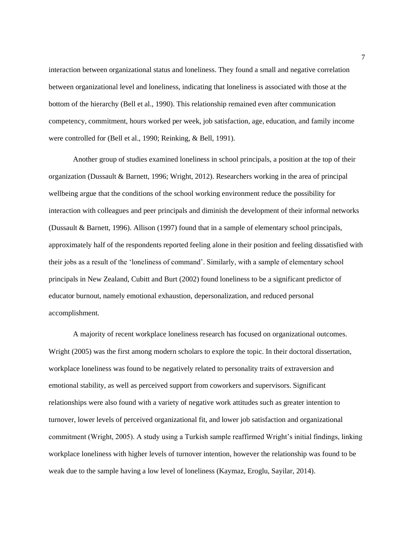interaction between organizational status and loneliness. They found a small and negative correlation between organizational level and loneliness, indicating that loneliness is associated with those at the bottom of the hierarchy (Bell et al., 1990). This relationship remained even after communication competency, commitment, hours worked per week, job satisfaction, age, education, and family income were controlled for (Bell et al., 1990; Reinking, & Bell, 1991).

Another group of studies examined loneliness in school principals, a position at the top of their organization (Dussault & Barnett, 1996; Wright, 2012). Researchers working in the area of principal wellbeing argue that the conditions of the school working environment reduce the possibility for interaction with colleagues and peer principals and diminish the development of their informal networks (Dussault & Barnett, 1996). Allison (1997) found that in a sample of elementary school principals, approximately half of the respondents reported feeling alone in their position and feeling dissatisfied with their jobs as a result of the 'loneliness of command'. Similarly, with a sample of elementary school principals in New Zealand, Cubitt and Burt (2002) found loneliness to be a significant predictor of educator burnout, namely emotional exhaustion, depersonalization, and reduced personal accomplishment.

A majority of recent workplace loneliness research has focused on organizational outcomes. Wright (2005) was the first among modern scholars to explore the topic. In their doctoral dissertation, workplace loneliness was found to be negatively related to personality traits of extraversion and emotional stability, as well as perceived support from coworkers and supervisors. Significant relationships were also found with a variety of negative work attitudes such as greater intention to turnover, lower levels of perceived organizational fit, and lower job satisfaction and organizational commitment (Wright, 2005). A study using a Turkish sample reaffirmed Wright's initial findings, linking workplace loneliness with higher levels of turnover intention, however the relationship was found to be weak due to the sample having a low level of loneliness (Kaymaz, Eroglu, Sayilar, 2014).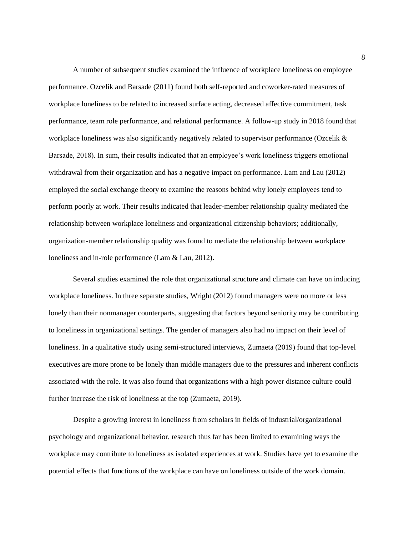A number of subsequent studies examined the influence of workplace loneliness on employee performance. Ozcelik and Barsade (2011) found both self-reported and coworker-rated measures of workplace loneliness to be related to increased surface acting, decreased affective commitment, task performance, team role performance, and relational performance. A follow-up study in 2018 found that workplace loneliness was also significantly negatively related to supervisor performance (Ozcelik & Barsade, 2018). In sum, their results indicated that an employee's work loneliness triggers emotional withdrawal from their organization and has a negative impact on performance. Lam and Lau (2012) employed the social exchange theory to examine the reasons behind why lonely employees tend to perform poorly at work. Their results indicated that leader-member relationship quality mediated the relationship between workplace loneliness and organizational citizenship behaviors; additionally, organization-member relationship quality was found to mediate the relationship between workplace loneliness and in-role performance (Lam & Lau, 2012).

Several studies examined the role that organizational structure and climate can have on inducing workplace loneliness. In three separate studies, Wright (2012) found managers were no more or less lonely than their nonmanager counterparts, suggesting that factors beyond seniority may be contributing to loneliness in organizational settings. The gender of managers also had no impact on their level of loneliness. In a qualitative study using semi-structured interviews, Zumaeta (2019) found that top-level executives are more prone to be lonely than middle managers due to the pressures and inherent conflicts associated with the role. It was also found that organizations with a high power distance culture could further increase the risk of loneliness at the top (Zumaeta, 2019).

Despite a growing interest in loneliness from scholars in fields of industrial/organizational psychology and organizational behavior, research thus far has been limited to examining ways the workplace may contribute to loneliness as isolated experiences at work. Studies have yet to examine the potential effects that functions of the workplace can have on loneliness outside of the work domain.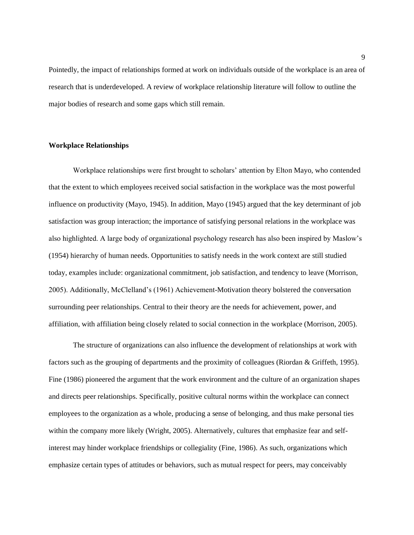Pointedly, the impact of relationships formed at work on individuals outside of the workplace is an area of research that is underdeveloped. A review of workplace relationship literature will follow to outline the major bodies of research and some gaps which still remain.

#### <span id="page-14-0"></span>**Workplace Relationships**

Workplace relationships were first brought to scholars' attention by Elton Mayo, who contended that the extent to which employees received social satisfaction in the workplace was the most powerful influence on productivity (Mayo, 1945). In addition, Mayo (1945) argued that the key determinant of job satisfaction was group interaction; the importance of satisfying personal relations in the workplace was also highlighted. A large body of organizational psychology research has also been inspired by Maslow's (1954) hierarchy of human needs. Opportunities to satisfy needs in the work context are still studied today, examples include: organizational commitment, job satisfaction, and tendency to leave (Morrison, 2005). Additionally, McClelland's (1961) Achievement-Motivation theory bolstered the conversation surrounding peer relationships. Central to their theory are the needs for achievement, power, and affiliation, with affiliation being closely related to social connection in the workplace (Morrison, 2005).

The structure of organizations can also influence the development of relationships at work with factors such as the grouping of departments and the proximity of colleagues (Riordan & Griffeth, 1995). Fine (1986) pioneered the argument that the work environment and the culture of an organization shapes and directs peer relationships. Specifically, positive cultural norms within the workplace can connect employees to the organization as a whole, producing a sense of belonging, and thus make personal ties within the company more likely (Wright, 2005). Alternatively, cultures that emphasize fear and selfinterest may hinder workplace friendships or collegiality (Fine, 1986). As such, organizations which emphasize certain types of attitudes or behaviors, such as mutual respect for peers, may conceivably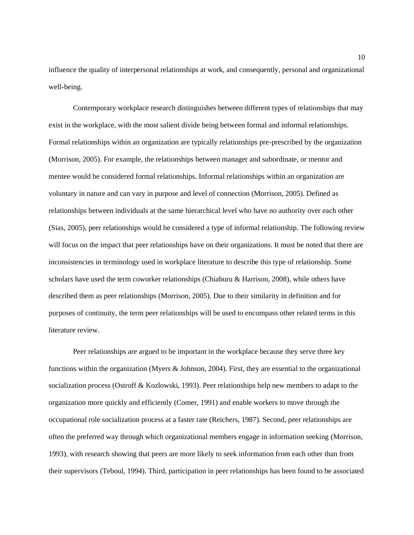influence the quality of interpersonal relationships at work, and consequently, personal and organizational well-being.

Contemporary workplace research distinguishes between different types of relationships that may exist in the workplace, with the most salient divide being between formal and informal relationships. Formal relationships within an organization are typically relationships pre-prescribed by the organization (Morrison, 2005). For example, the relationships between manager and subordinate, or mentor and mentee would be considered formal relationships. Informal relationships within an organization are voluntary in nature and can vary in purpose and level of connection (Morrison, 2005). Defined as relationships between individuals at the same hierarchical level who have no authority over each other (Sias, 2005), peer relationships would be considered a type of informal relationship. The following review will focus on the impact that peer relationships have on their organizations. It must be noted that there are inconsistencies in terminology used in workplace literature to describe this type of relationship. Some scholars have used the term coworker relationships (Chiaburu & Harrison, 2008), while others have described them as peer relationships (Morrison, 2005). Due to their similarity in definition and for purposes of continuity, the term peer relationships will be used to encompass other related terms in this literature review.

Peer relationships are argued to be important in the workplace because they serve three key functions within the organization (Myers & Johnson, 2004). First, they are essential to the organizational socialization process (Ostroff & Kozlowski, 1993). Peer relationships help new members to adapt to the organization more quickly and efficiently (Comer, 1991) and enable workers to move through the occupational role socialization process at a faster rate (Reichers, 1987). Second, peer relationships are often the preferred way through which organizational members engage in information seeking (Morrison, 1993), with research showing that peers are more likely to seek information from each other than from their supervisors (Teboul, 1994). Third, participation in peer relationships has been found to be associated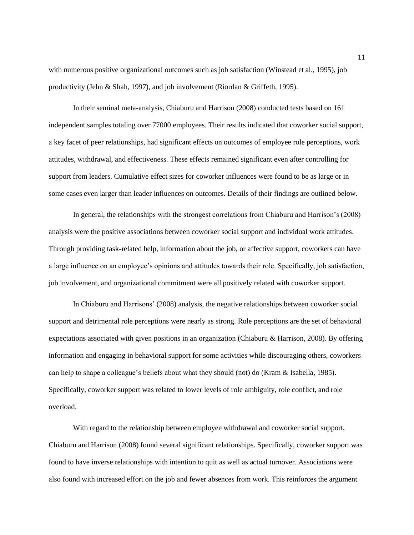with numerous positive organizational outcomes such as job satisfaction (Winstead et al., 1995), job productivity (Jehn & Shah, 1997), and job involvement (Riordan & Griffeth, 1995).

In their seminal meta-analysis, Chiaburu and Harrison (2008) conducted tests based on 161 independent samples totaling over 77000 employees. Their results indicated that coworker social support, a key facet of peer relationships, had significant effects on outcomes of employee role perceptions, work attitudes, withdrawal, and effectiveness. These effects remained significant even after controlling for support from leaders. Cumulative effect sizes for coworker influences were found to be as large or in some cases even larger than leader influences on outcomes. Details of their findings are outlined below.

In general, the relationships with the strongest correlations from Chiaburu and Harrison's (2008) analysis were the positive associations between coworker social support and individual work attitudes. Through providing task-related help, information about the job, or affective support, coworkers can have a large influence on an employee's opinions and attitudes towards their role. Specifically, job satisfaction, job involvement, and organizational commitment were all positively related with coworker support.

In Chiaburu and Harrisons' (2008) analysis, the negative relationships between coworker social support and detrimental role perceptions were nearly as strong. Role perceptions are the set of behavioral expectations associated with given positions in an organization (Chiaburu & Harrison, 2008). By offering information and engaging in behavioral support for some activities while discouraging others, coworkers can help to shape a colleague's beliefs about what they should (not) do (Kram & Isabella, 1985). Specifically, coworker support was related to lower levels of role ambiguity, role conflict, and role overload.

With regard to the relationship between employee withdrawal and coworker social support, Chiaburu and Harrison (2008) found several significant relationships. Specifically, coworker support was found to have inverse relationships with intention to quit as well as actual turnover. Associations were also found with increased effort on the job and fewer absences from work. This reinforces the argument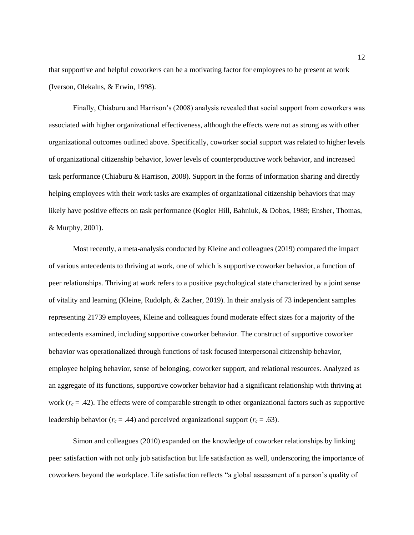that supportive and helpful coworkers can be a motivating factor for employees to be present at work (Iverson, Olekalns, & Erwin, 1998).

Finally, Chiaburu and Harrison's (2008) analysis revealed that social support from coworkers was associated with higher organizational effectiveness, although the effects were not as strong as with other organizational outcomes outlined above. Specifically, coworker social support was related to higher levels of organizational citizenship behavior, lower levels of counterproductive work behavior, and increased task performance (Chiaburu & Harrison, 2008). Support in the forms of information sharing and directly helping employees with their work tasks are examples of organizational citizenship behaviors that may likely have positive effects on task performance (Kogler Hill, Bahniuk, & Dobos, 1989; Ensher, Thomas, & Murphy, 2001).

Most recently, a meta-analysis conducted by Kleine and colleagues (2019) compared the impact of various antecedents to thriving at work, one of which is supportive coworker behavior, a function of peer relationships. Thriving at work refers to a positive psychological state characterized by a joint sense of vitality and learning (Kleine, Rudolph, & Zacher, 2019). In their analysis of 73 independent samples representing 21739 employees, Kleine and colleagues found moderate effect sizes for a majority of the antecedents examined, including supportive coworker behavior. The construct of supportive coworker behavior was operationalized through functions of task focused interpersonal citizenship behavior, employee helping behavior, sense of belonging, coworker support, and relational resources. Analyzed as an aggregate of its functions, supportive coworker behavior had a significant relationship with thriving at work  $(r_c = .42)$ . The effects were of comparable strength to other organizational factors such as supportive leadership behavior ( $r_c$  = .44) and perceived organizational support ( $r_c$  = .63).

Simon and colleagues (2010) expanded on the knowledge of coworker relationships by linking peer satisfaction with not only job satisfaction but life satisfaction as well, underscoring the importance of coworkers beyond the workplace. Life satisfaction reflects "a global assessment of a person's quality of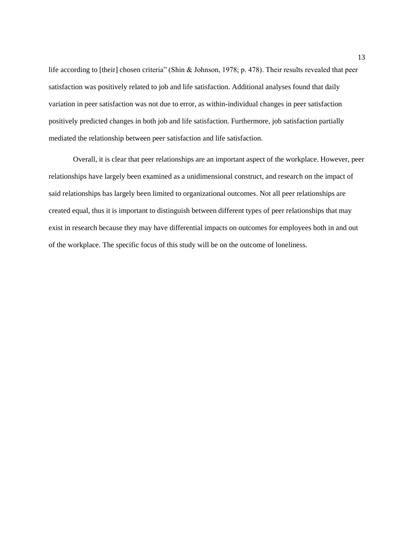life according to [their] chosen criteria" (Shin & Johnson, 1978; p. 478). Their results revealed that peer satisfaction was positively related to job and life satisfaction. Additional analyses found that daily variation in peer satisfaction was not due to error, as within-individual changes in peer satisfaction positively predicted changes in both job and life satisfaction. Furthermore, job satisfaction partially mediated the relationship between peer satisfaction and life satisfaction.

Overall, it is clear that peer relationships are an important aspect of the workplace. However, peer relationships have largely been examined as a unidimensional construct, and research on the impact of said relationships has largely been limited to organizational outcomes. Not all peer relationships are created equal, thus it is important to distinguish between different types of peer relationships that may exist in research because they may have differential impacts on outcomes for employees both in and out of the workplace. The specific focus of this study will be on the outcome of loneliness.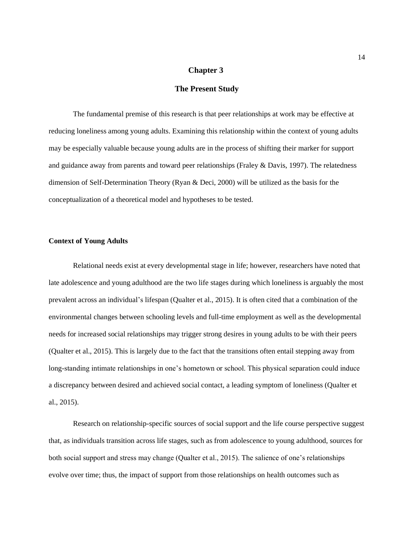### **Chapter 3**

### **The Present Study**

<span id="page-19-0"></span>The fundamental premise of this research is that peer relationships at work may be effective at reducing loneliness among young adults. Examining this relationship within the context of young adults may be especially valuable because young adults are in the process of shifting their marker for support and guidance away from parents and toward peer relationships (Fraley & Davis, 1997). The relatedness dimension of Self-Determination Theory (Ryan & Deci, 2000) will be utilized as the basis for the conceptualization of a theoretical model and hypotheses to be tested.

#### <span id="page-19-1"></span>**Context of Young Adults**

Relational needs exist at every developmental stage in life; however, researchers have noted that late adolescence and young adulthood are the two life stages during which loneliness is arguably the most prevalent across an individual's lifespan (Qualter et al., 2015). It is often cited that a combination of the environmental changes between schooling levels and full-time employment as well as the developmental needs for increased social relationships may trigger strong desires in young adults to be with their peers (Qualter et al., 2015). This is largely due to the fact that the transitions often entail stepping away from long-standing intimate relationships in one's hometown or school. This physical separation could induce a discrepancy between desired and achieved social contact, a leading symptom of loneliness (Qualter et al., 2015).

Research on relationship-specific sources of social support and the life course perspective suggest that, as individuals transition across life stages, such as from adolescence to young adulthood, sources for both social support and stress may change (Qualter et al., 2015). The salience of one's relationships evolve over time; thus, the impact of support from those relationships on health outcomes such as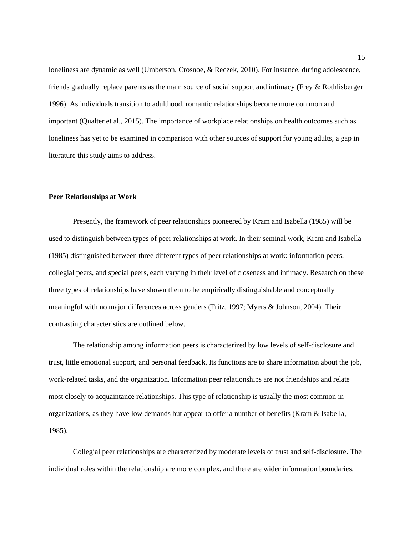loneliness are dynamic as well (Umberson, Crosnoe, & Reczek, 2010). For instance, during adolescence, friends gradually replace parents as the main source of social support and intimacy (Frey & Rothlisberger 1996). As individuals transition to adulthood, romantic relationships become more common and important (Qualter et al., 2015). The importance of workplace relationships on health outcomes such as loneliness has yet to be examined in comparison with other sources of support for young adults, a gap in literature this study aims to address.

#### <span id="page-20-0"></span>**Peer Relationships at Work**

Presently, the framework of peer relationships pioneered by Kram and Isabella (1985) will be used to distinguish between types of peer relationships at work. In their seminal work, Kram and Isabella (1985) distinguished between three different types of peer relationships at work: information peers, collegial peers, and special peers, each varying in their level of closeness and intimacy. Research on these three types of relationships have shown them to be empirically distinguishable and conceptually meaningful with no major differences across genders (Fritz, 1997; Myers & Johnson, 2004). Their contrasting characteristics are outlined below.

The relationship among information peers is characterized by low levels of self-disclosure and trust, little emotional support, and personal feedback. Its functions are to share information about the job, work-related tasks, and the organization. Information peer relationships are not friendships and relate most closely to acquaintance relationships. This type of relationship is usually the most common in organizations, as they have low demands but appear to offer a number of benefits (Kram & Isabella, 1985).

Collegial peer relationships are characterized by moderate levels of trust and self-disclosure. The individual roles within the relationship are more complex, and there are wider information boundaries.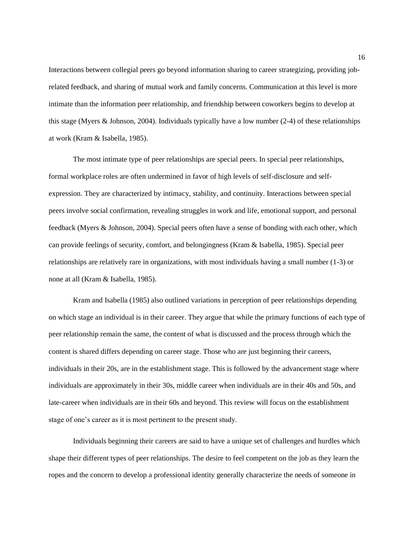Interactions between collegial peers go beyond information sharing to career strategizing, providing jobrelated feedback, and sharing of mutual work and family concerns. Communication at this level is more intimate than the information peer relationship, and friendship between coworkers begins to develop at this stage (Myers & Johnson, 2004). Individuals typically have a low number (2-4) of these relationships at work (Kram & Isabella, 1985).

The most intimate type of peer relationships are special peers. In special peer relationships, formal workplace roles are often undermined in favor of high levels of self-disclosure and selfexpression. They are characterized by intimacy, stability, and continuity. Interactions between special peers involve social confirmation, revealing struggles in work and life, emotional support, and personal feedback (Myers & Johnson, 2004). Special peers often have a sense of bonding with each other, which can provide feelings of security, comfort, and belongingness (Kram & Isabella, 1985). Special peer relationships are relatively rare in organizations, with most individuals having a small number (1-3) or none at all (Kram & Isabella, 1985).

Kram and Isabella (1985) also outlined variations in perception of peer relationships depending on which stage an individual is in their career. They argue that while the primary functions of each type of peer relationship remain the same, the content of what is discussed and the process through which the content is shared differs depending on career stage. Those who are just beginning their careers, individuals in their 20s, are in the establishment stage. This is followed by the advancement stage where individuals are approximately in their 30s, middle career when individuals are in their 40s and 50s, and late-career when individuals are in their 60s and beyond. This review will focus on the establishment stage of one's career as it is most pertinent to the present study.

Individuals beginning their careers are said to have a unique set of challenges and hurdles which shape their different types of peer relationships. The desire to feel competent on the job as they learn the ropes and the concern to develop a professional identity generally characterize the needs of someone in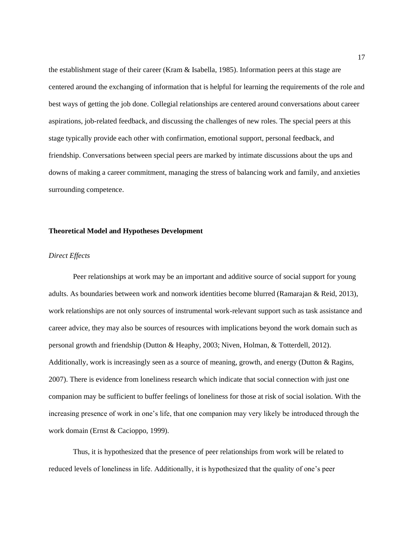the establishment stage of their career (Kram & Isabella, 1985). Information peers at this stage are centered around the exchanging of information that is helpful for learning the requirements of the role and best ways of getting the job done. Collegial relationships are centered around conversations about career aspirations, job-related feedback, and discussing the challenges of new roles. The special peers at this stage typically provide each other with confirmation, emotional support, personal feedback, and friendship. Conversations between special peers are marked by intimate discussions about the ups and downs of making a career commitment, managing the stress of balancing work and family, and anxieties surrounding competence.

### <span id="page-22-0"></span>**Theoretical Model and Hypotheses Development**

#### *Direct Effects*

Peer relationships at work may be an important and additive source of social support for young adults. As boundaries between work and nonwork identities become blurred (Ramarajan & Reid, 2013), work relationships are not only sources of instrumental work-relevant support such as task assistance and career advice, they may also be sources of resources with implications beyond the work domain such as personal growth and friendship (Dutton & Heaphy, 2003; Niven, Holman, & Totterdell, 2012). Additionally, work is increasingly seen as a source of meaning, growth, and energy (Dutton & Ragins, 2007). There is evidence from loneliness research which indicate that social connection with just one companion may be sufficient to buffer feelings of loneliness for those at risk of social isolation. With the increasing presence of work in one's life, that one companion may very likely be introduced through the work domain (Ernst & Cacioppo, 1999).

Thus, it is hypothesized that the presence of peer relationships from work will be related to reduced levels of loneliness in life. Additionally, it is hypothesized that the quality of one's peer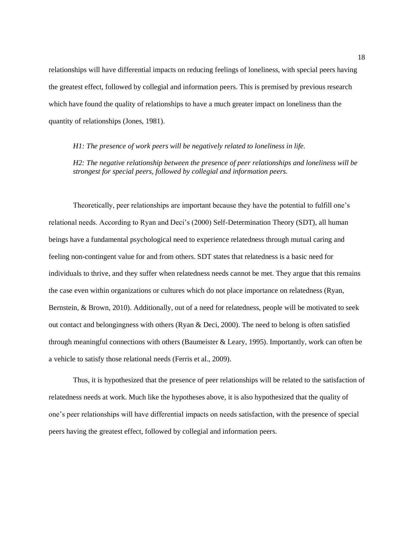relationships will have differential impacts on reducing feelings of loneliness, with special peers having the greatest effect, followed by collegial and information peers. This is premised by previous research which have found the quality of relationships to have a much greater impact on loneliness than the quantity of relationships (Jones, 1981).

#### *H1: The presence of work peers will be negatively related to loneliness in life.*

*H2: The negative relationship between the presence of peer relationships and loneliness will be strongest for special peers, followed by collegial and information peers.*

Theoretically, peer relationships are important because they have the potential to fulfill one's relational needs. According to Ryan and Deci's (2000) Self-Determination Theory (SDT), all human beings have a fundamental psychological need to experience relatedness through mutual caring and feeling non-contingent value for and from others. SDT states that relatedness is a basic need for individuals to thrive, and they suffer when relatedness needs cannot be met. They argue that this remains the case even within organizations or cultures which do not place importance on relatedness (Ryan, Bernstein, & Brown, 2010). Additionally, out of a need for relatedness, people will be motivated to seek out contact and belongingness with others (Ryan & Deci, 2000). The need to belong is often satisfied through meaningful connections with others (Baumeister & Leary, 1995). Importantly, work can often be a vehicle to satisfy those relational needs (Ferris et al., 2009).

Thus, it is hypothesized that the presence of peer relationships will be related to the satisfaction of relatedness needs at work. Much like the hypotheses above, it is also hypothesized that the quality of one's peer relationships will have differential impacts on needs satisfaction, with the presence of special peers having the greatest effect, followed by collegial and information peers.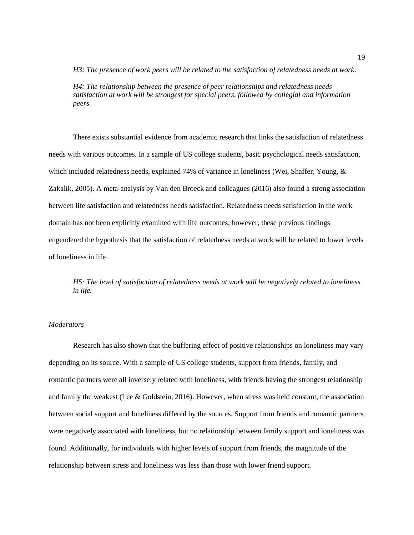*H3: The presence of work peers will be related to the satisfaction of relatedness needs at work.*

*H4: The relationship between the presence of peer relationships and relatedness needs satisfaction at work will be strongest for special peers, followed by collegial and information peers.*

There exists substantial evidence from academic research that links the satisfaction of relatedness needs with various outcomes. In a sample of US college students, basic psychological needs satisfaction, which included relatedness needs, explained 74% of variance in loneliness (Wei, Shaffer, Young, & Zakalik, 2005). A meta-analysis by Van den Broeck and colleagues (2016) also found a strong association between life satisfaction and relatedness needs satisfaction. Relatedness needs satisfaction in the work domain has not been explicitly examined with life outcomes; however, these previous findings engendered the hypothesis that the satisfaction of relatedness needs at work will be related to lower levels of loneliness in life.

*H5: The level of satisfaction of relatedness needs at work will be negatively related to loneliness in life.*

#### *Moderators*

Research has also shown that the buffering effect of positive relationships on loneliness may vary depending on its source. With a sample of US college students, support from friends, family, and romantic partners were all inversely related with loneliness, with friends having the strongest relationship and family the weakest (Lee & Goldstein, 2016). However, when stress was held constant, the association between social support and loneliness differed by the sources. Support from friends and romantic partners were negatively associated with loneliness, but no relationship between family support and loneliness was found. Additionally, for individuals with higher levels of support from friends, the magnitude of the relationship between stress and loneliness was less than those with lower friend support.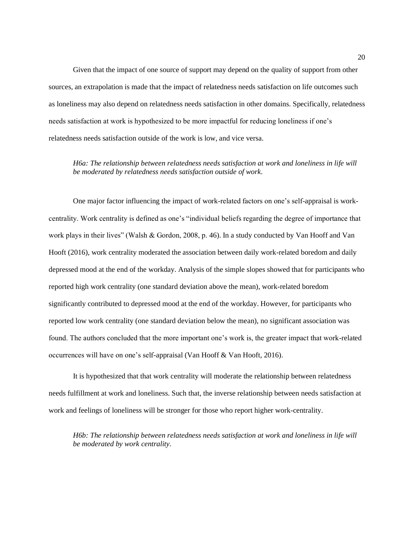Given that the impact of one source of support may depend on the quality of support from other sources, an extrapolation is made that the impact of relatedness needs satisfaction on life outcomes such as loneliness may also depend on relatedness needs satisfaction in other domains. Specifically, relatedness needs satisfaction at work is hypothesized to be more impactful for reducing loneliness if one's relatedness needs satisfaction outside of the work is low, and vice versa.

### *H6a: The relationship between relatedness needs satisfaction at work and loneliness in life will be moderated by relatedness needs satisfaction outside of work.*

One major factor influencing the impact of work-related factors on one's self-appraisal is workcentrality. Work centrality is defined as one's "individual beliefs regarding the degree of importance that work plays in their lives" (Walsh & Gordon, 2008, p. 46). In a study conducted by Van Hooff and Van Hooft (2016), work centrality moderated the association between daily work-related boredom and daily depressed mood at the end of the workday. Analysis of the simple slopes showed that for participants who reported high work centrality (one standard deviation above the mean), work-related boredom significantly contributed to depressed mood at the end of the workday. However, for participants who reported low work centrality (one standard deviation below the mean), no significant association was found. The authors concluded that the more important one's work is, the greater impact that work-related occurrences will have on one's self-appraisal (Van Hooff & Van Hooft, 2016).

It is hypothesized that that work centrality will moderate the relationship between relatedness needs fulfillment at work and loneliness. Such that, the inverse relationship between needs satisfaction at work and feelings of loneliness will be stronger for those who report higher work-centrality.

*H6b: The relationship between relatedness needs satisfaction at work and loneliness in life will be moderated by work centrality.*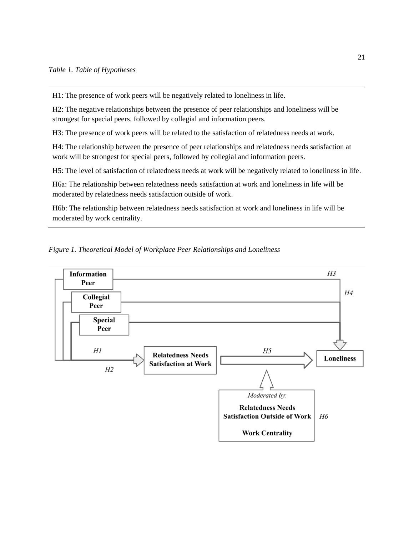<span id="page-26-1"></span>H1: The presence of work peers will be negatively related to loneliness in life.

H2: The negative relationships between the presence of peer relationships and loneliness will be strongest for special peers, followed by collegial and information peers.

H3: The presence of work peers will be related to the satisfaction of relatedness needs at work.

H4: The relationship between the presence of peer relationships and relatedness needs satisfaction at work will be strongest for special peers, followed by collegial and information peers.

H5: The level of satisfaction of relatedness needs at work will be negatively related to loneliness in life.

H6a: The relationship between relatedness needs satisfaction at work and loneliness in life will be moderated by relatedness needs satisfaction outside of work.

H6b: The relationship between relatedness needs satisfaction at work and loneliness in life will be moderated by work centrality.

<span id="page-26-0"></span>*Figure 1. Theoretical Model of Workplace Peer Relationships and Loneliness*

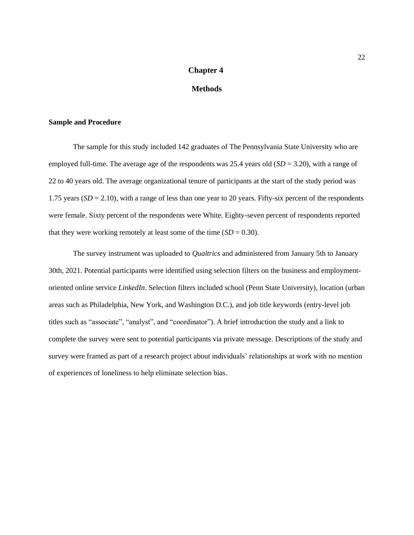## **Chapter 4**

### **Methods**

### <span id="page-27-1"></span><span id="page-27-0"></span>**Sample and Procedure**

The sample for this study included 142 graduates of The Pennsylvania State University who are employed full-time. The average age of the respondents was 25.4 years old (*SD* = 3.20), with a range of 22 to 40 years old. The average organizational tenure of participants at the start of the study period was 1.75 years (*SD* = 2.10), with a range of less than one year to 20 years. Fifty-six percent of the respondents were female. Sixty percent of the respondents were White. Eighty-seven percent of respondents reported that they were working remotely at least some of the time  $(SD = 0.30)$ .

The survey instrument was uploaded to *Qualtrics* and administered from January 5th to January 30th, 2021. Potential participants were identified using selection filters on the business and employmentoriented online service *LinkedIn*. Selection filters included school (Penn State University), location (urban areas such as Philadelphia, New York, and Washington D.C.), and job title keywords (entry-level job titles such as "associate", "analyst", and "coordinator"). A brief introduction the study and a link to complete the survey were sent to potential participants via private message. Descriptions of the study and survey were framed as part of a research project about individuals' relationships at work with no mention of experiences of loneliness to help eliminate selection bias.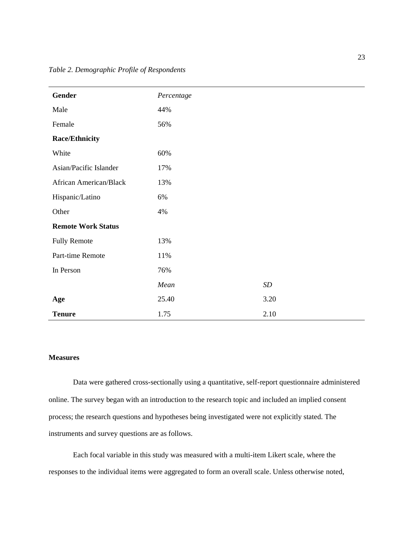<span id="page-28-1"></span>

| Gender                    | Percentage |                   |
|---------------------------|------------|-------------------|
| Male                      | 44%        |                   |
| Female                    | 56%        |                   |
| <b>Race/Ethnicity</b>     |            |                   |
| White                     | 60%        |                   |
| Asian/Pacific Islander    | 17%        |                   |
| African American/Black    | 13%        |                   |
| Hispanic/Latino           | 6%         |                   |
| Other                     | 4%         |                   |
| <b>Remote Work Status</b> |            |                   |
| <b>Fully Remote</b>       | 13%        |                   |
| Part-time Remote          | 11%        |                   |
| In Person                 | 76%        |                   |
|                           | Mean       | $\boldsymbol{SD}$ |
| Age                       | 25.40      | 3.20              |
| <b>Tenure</b>             | 1.75       | 2.10              |

### <span id="page-28-0"></span>**Measures**

Data were gathered cross-sectionally using a quantitative, self-report questionnaire administered online. The survey began with an introduction to the research topic and included an implied consent process; the research questions and hypotheses being investigated were not explicitly stated. The instruments and survey questions are as follows.

Each focal variable in this study was measured with a multi-item Likert scale, where the responses to the individual items were aggregated to form an overall scale. Unless otherwise noted,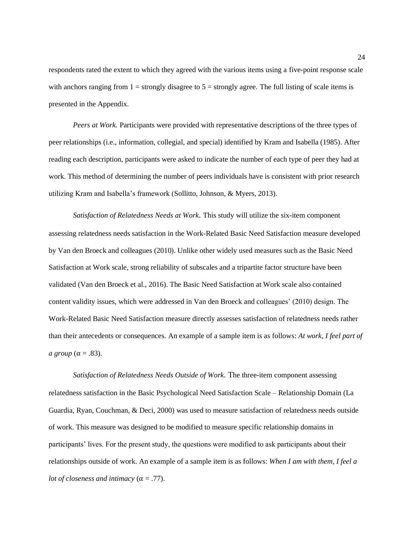respondents rated the extent to which they agreed with the various items using a five-point response scale with anchors ranging from  $1 =$  strongly disagree to  $5 =$  strongly agree. The full listing of scale items is presented in the Appendix.

*Peers at Work.* Participants were provided with representative descriptions of the three types of peer relationships (i.e., information, collegial, and special) identified by Kram and Isabella (1985). After reading each description, participants were asked to indicate the number of each type of peer they had at work. This method of determining the number of peers individuals have is consistent with prior research utilizing Kram and Isabella's framework (Sollitto, Johnson, & Myers, 2013).

*Satisfaction of Relatedness Needs at Work.* This study will utilize the six-item component assessing relatedness needs satisfaction in the Work-Related Basic Need Satisfaction measure developed by Van den Broeck and colleagues (2010). Unlike other widely used measures such as the Basic Need Satisfaction at Work scale, strong reliability of subscales and a tripartite factor structure have been validated (Van den Broeck et al., 2016). The Basic Need Satisfaction at Work scale also contained content validity issues, which were addressed in Van den Broeck and colleagues' (2010) design. The Work-Related Basic Need Satisfaction measure directly assesses satisfaction of relatedness needs rather than their antecedents or consequences. An example of a sample item is as follows: *At work, I feel part of a group* ( $\alpha$  = .83).

*Satisfaction of Relatedness Needs Outside of Work.* The three-item component assessing relatedness satisfaction in the Basic Psychological Need Satisfaction Scale – Relationship Domain (La Guardia, Ryan, Couchman, & Deci, 2000) was used to measure satisfaction of relatedness needs outside of work. This measure was designed to be modified to measure specific relationship domains in participants' lives. For the present study, the questions were modified to ask participants about their relationships outside of work. An example of a sample item is as follows: *When I am with them, I feel a lot of closeness and intimacy* ( $\alpha$  = .77).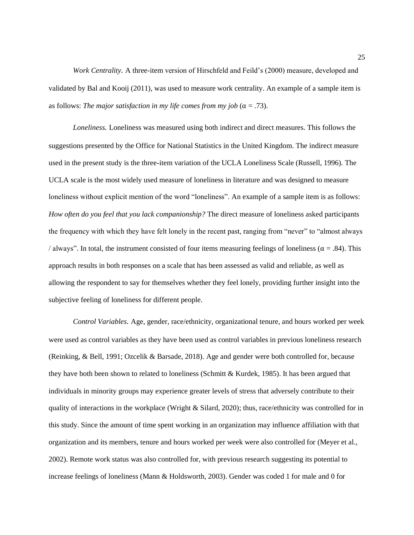*Work Centrality.* A three-item version of Hirschfeld and Feild's (2000) measure, developed and validated by Bal and Kooij (2011), was used to measure work centrality. An example of a sample item is as follows: *The major satisfaction in my life comes from my job* ( $\alpha = .73$ ).

*Loneliness.* Loneliness was measured using both indirect and direct measures. This follows the suggestions presented by the Office for National Statistics in the United Kingdom. The indirect measure used in the present study is the three-item variation of the UCLA Loneliness Scale (Russell, 1996). The UCLA scale is the most widely used measure of loneliness in literature and was designed to measure loneliness without explicit mention of the word "loneliness". An example of a sample item is as follows: *How often do you feel that you lack companionship?* The direct measure of loneliness asked participants the frequency with which they have felt lonely in the recent past, ranging from "never" to "almost always / always". In total, the instrument consisted of four items measuring feelings of loneliness ( $\alpha$  = .84). This approach results in both responses on a scale that has been assessed as valid and reliable, as well as allowing the respondent to say for themselves whether they feel lonely, providing further insight into the subjective feeling of loneliness for different people.

*Control Variables.* Age, gender, race/ethnicity, organizational tenure, and hours worked per week were used as control variables as they have been used as control variables in previous loneliness research (Reinking, & Bell, 1991; Ozcelik & Barsade, 2018). Age and gender were both controlled for, because they have both been shown to related to loneliness (Schmitt & Kurdek, 1985). It has been argued that individuals in minority groups may experience greater levels of stress that adversely contribute to their quality of interactions in the workplace (Wright & Silard, 2020); thus, race/ethnicity was controlled for in this study. Since the amount of time spent working in an organization may influence affiliation with that organization and its members, tenure and hours worked per week were also controlled for (Meyer et al., 2002). Remote work status was also controlled for, with previous research suggesting its potential to increase feelings of loneliness (Mann & Holdsworth, 2003). Gender was coded 1 for male and 0 for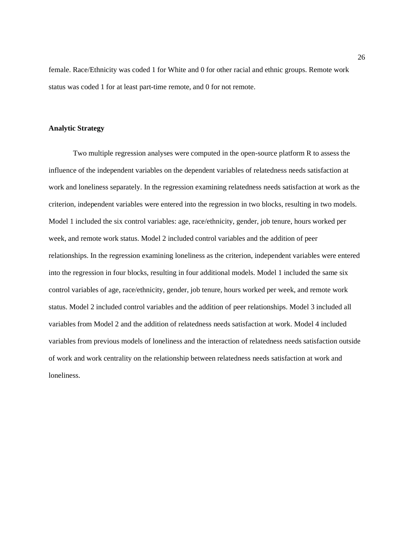female. Race/Ethnicity was coded 1 for White and 0 for other racial and ethnic groups. Remote work status was coded 1 for at least part-time remote, and 0 for not remote.

#### <span id="page-31-0"></span>**Analytic Strategy**

Two multiple regression analyses were computed in the open-source platform R to assess the influence of the independent variables on the dependent variables of relatedness needs satisfaction at work and loneliness separately. In the regression examining relatedness needs satisfaction at work as the criterion, independent variables were entered into the regression in two blocks, resulting in two models. Model 1 included the six control variables: age, race/ethnicity, gender, job tenure, hours worked per week, and remote work status. Model 2 included control variables and the addition of peer relationships. In the regression examining loneliness as the criterion, independent variables were entered into the regression in four blocks, resulting in four additional models. Model 1 included the same six control variables of age, race/ethnicity, gender, job tenure, hours worked per week, and remote work status. Model 2 included control variables and the addition of peer relationships. Model 3 included all variables from Model 2 and the addition of relatedness needs satisfaction at work. Model 4 included variables from previous models of loneliness and the interaction of relatedness needs satisfaction outside of work and work centrality on the relationship between relatedness needs satisfaction at work and loneliness.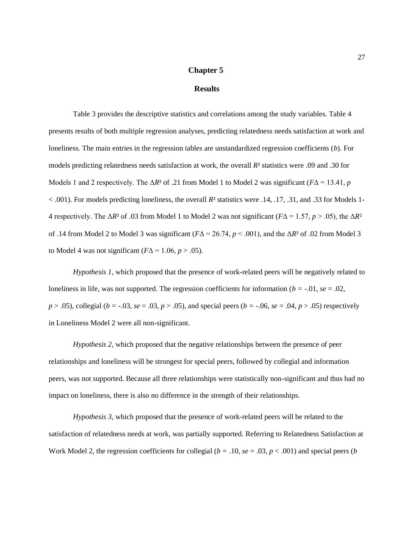### **Chapter 5**

#### **Results**

<span id="page-32-0"></span>Table 3 provides the descriptive statistics and correlations among the study variables. Table 4 presents results of both multiple regression analyses, predicting relatedness needs satisfaction at work and loneliness. The main entries in the regression tables are unstandardized regression coefficients (*b*). For models predicting relatedness needs satisfaction at work, the overall *R*² statistics were .09 and .30 for Models 1 and 2 respectively. The  $\Delta R^2$  of .21 from Model 1 to Model 2 was significant ( $F\Delta = 13.41$ , *p* < .001). For models predicting loneliness, the overall *R*² statistics were .14, .17, .31, and .33 for Models 1- 4 respectively. The  $\Delta R^2$  of .03 from Model 1 to Model 2 was not significant ( $F\Delta = 1.57$ ,  $p > .05$ ), the  $\Delta R^2$ of .14 from Model 2 to Model 3 was significant (*F*Δ = 26.74, *p* < .001), and the Δ*R*² of .02 from Model 3 to Model 4 was not significant  $(F\Delta = 1.06, p > .05)$ .

*Hypothesis 1*, which proposed that the presence of work-related peers will be negatively related to loneliness in life, was not supported. The regression coefficients for information ( $b = -0.01$ ,  $se = 0.02$ ,  $p > .05$ , collegial ( $b = .03$ ,  $se = .03$ ,  $p > .05$ ), and special peers ( $b = .06$ ,  $se = .04$ ,  $p > .05$ ) respectively in Loneliness Model 2 were all non-significant.

*Hypothesis 2*, which proposed that the negative relationships between the presence of peer relationships and loneliness will be strongest for special peers, followed by collegial and information peers, was not supported. Because all three relationships were statistically non-significant and thus had no impact on loneliness, there is also no difference in the strength of their relationships.

*Hypothesis 3*, which proposed that the presence of work-related peers will be related to the satisfaction of relatedness needs at work, was partially supported. Referring to Relatedness Satisfaction at Work Model 2, the regression coefficients for collegial  $(b = .10, s = .03, p < .001)$  and special peers (*b*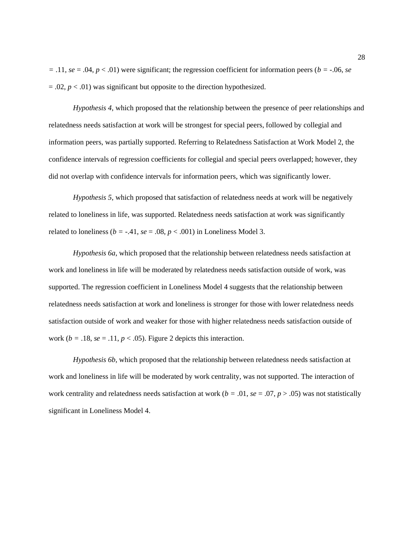*=* .11, *se* = .04, *p* < .01) were significant; the regression coefficient for information peers (*b =* -.06, *se*  $= .02, p < .01$ ) was significant but opposite to the direction hypothesized.

*Hypothesis 4*, which proposed that the relationship between the presence of peer relationships and relatedness needs satisfaction at work will be strongest for special peers, followed by collegial and information peers, was partially supported. Referring to Relatedness Satisfaction at Work Model 2, the confidence intervals of regression coefficients for collegial and special peers overlapped; however, they did not overlap with confidence intervals for information peers, which was significantly lower.

*Hypothesis 5*, which proposed that satisfaction of relatedness needs at work will be negatively related to loneliness in life, was supported. Relatedness needs satisfaction at work was significantly related to loneliness ( $b = -.41$ ,  $se = .08$ ,  $p < .001$ ) in Loneliness Model 3.

*Hypothesis 6a*, which proposed that the relationship between relatedness needs satisfaction at work and loneliness in life will be moderated by relatedness needs satisfaction outside of work, was supported. The regression coefficient in Loneliness Model 4 suggests that the relationship between relatedness needs satisfaction at work and loneliness is stronger for those with lower relatedness needs satisfaction outside of work and weaker for those with higher relatedness needs satisfaction outside of work ( $b = .18$ ,  $se = .11$ ,  $p < .05$ ). Figure 2 depicts this interaction.

*Hypothesis 6b*, which proposed that the relationship between relatedness needs satisfaction at work and loneliness in life will be moderated by work centrality, was not supported. The interaction of work centrality and relatedness needs satisfaction at work ( $b = .01$ ,  $se = .07$ ,  $p > .05$ ) was not statistically significant in Loneliness Model 4.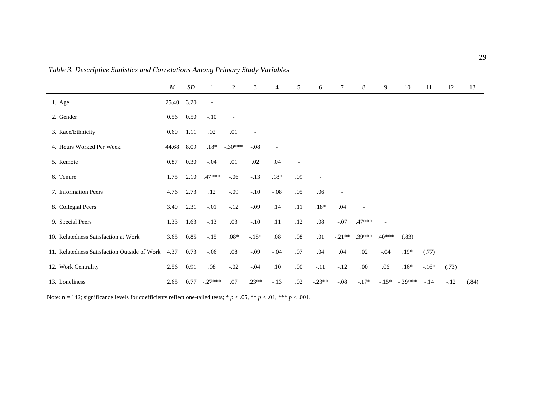|                                              | $\boldsymbol{M}$ | $\boldsymbol{SD}$ | 1                        | 2                        | 3              | 4       | 5    | 6                        | $\tau$            | 8              | 9                        | 10        | 11     | 12     | 13    |
|----------------------------------------------|------------------|-------------------|--------------------------|--------------------------|----------------|---------|------|--------------------------|-------------------|----------------|--------------------------|-----------|--------|--------|-------|
| 1. Age                                       | 25.40            | 3.20              | $\overline{\phantom{a}}$ |                          |                |         |      |                          |                   |                |                          |           |        |        |       |
| 2. Gender                                    | 0.56             | 0.50              | $-.10$                   | $\overline{\phantom{a}}$ |                |         |      |                          |                   |                |                          |           |        |        |       |
| 3. Race/Ethnicity                            | 0.60             | 1.11              | .02                      | .01                      | $\overline{a}$ |         |      |                          |                   |                |                          |           |        |        |       |
| 4. Hours Worked Per Week                     | 44.68            | 8.09              | $.18*$                   | $-.30***$                | $-.08$         |         |      |                          |                   |                |                          |           |        |        |       |
| 5. Remote                                    | 0.87             | 0.30              | $-.04$                   | .01                      | .02            | .04     |      |                          |                   |                |                          |           |        |        |       |
| 6. Tenure                                    | 1.75             | 2.10              | $.47***$                 | $-.06$                   | $-.13$         | $.18\%$ | .09  | $\overline{\phantom{a}}$ |                   |                |                          |           |        |        |       |
| 7. Information Peers                         | 4.76             | 2.73              | .12                      | $-.09$                   | $-.10$         | $-.08$  | .05  | .06                      | $\qquad \qquad -$ |                |                          |           |        |        |       |
| 8. Collegial Peers                           | 3.40             | 2.31              | $-.01$                   | $-.12$                   | $-.09$         | .14     | .11  | $.18\%$                  | .04               | $\overline{a}$ |                          |           |        |        |       |
| 9. Special Peers                             | 1.33             | 1.63              | $-.13$                   | .03                      | $-.10$         | .11     | .12  | $.08\,$                  | $-.07$            | .47***         | $\overline{\phantom{a}}$ |           |        |        |       |
| 10. Relatedness Satisfaction at Work         | 3.65             | 0.85              | $-.15$                   | $.08*$                   | $-18*$         | .08     | .08  | .01                      | $-.21**$          | $.39***$       | $.40***$                 | (.83)     |        |        |       |
| 11. Relatedness Satisfaction Outside of Work | 4.37             | 0.73              | $-.06$                   | $.08\,$                  | $-.09$         | $-.04$  | .07  | .04                      | .04               | .02            | $-.04$                   | $.19*$    | (.77)  |        |       |
| 12. Work Centrality                          | 2.56             | 0.91              | .08                      | $-.02$                   | $-.04$         | .10     | .00. | $-.11$                   | $-.12$            | .00.           | .06                      | $.16*$    | $-16*$ | (.73)  |       |
| 13. Loneliness                               | 2.65             | 0.77              | $-.27***$                | .07                      | $.23**$        | $-.13$  | .02  | $-.23**$                 | $-.08$            | $-.17*$        | $-.15*$                  | $-.39***$ | $-.14$ | $-.12$ | (.84) |

*Table 3. Descriptive Statistics and Correlations Among Primary Study Variables*

<span id="page-34-0"></span>Note:  $n = 142$ ; significance levels for coefficients reflect one-tailed tests;  $* p < .05$ ,  $** p < .01$ ,  $*** p < .001$ .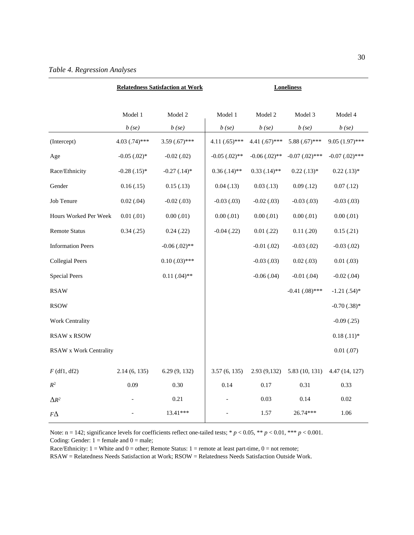<span id="page-35-0"></span>

|                               |                     | <b>Relatedness Satisfaction at Work</b> | <b>Loneliness</b>   |                     |                     |                     |  |
|-------------------------------|---------------------|-----------------------------------------|---------------------|---------------------|---------------------|---------------------|--|
|                               | Model 1<br>$b$ (se) | Model 2<br>$b$ (se)                     | Model 1<br>$b$ (se) | Model 2<br>$b$ (se) | Model 3<br>$b$ (se) | Model 4<br>$b$ (se) |  |
| (Intercept)                   | $4.03(.74)$ ***     | $3.59(.67)$ ***                         | $4.11(.65)$ ***     | 4.41 $(.67)$ ***    | $5.88(.67)$ ***     | $9.05(1.97)$ ***    |  |
| Age                           | $-0.05$ $(.02)*$    | $-0.02$ $(.02)$                         | $-0.05$ $(.02)*$    | $-0.06$ $(.02)$ **  | $-0.07$ $(.02)$ *** | $-0.07$ $(.02)$ *** |  |
| Race/Ethnicity                | $-0.28$ $(.15)*$    | $-0.27$ $(.14)*$                        | $0.36(.14)$ **      | $0.33$ $(.14)$ **   | $0.22$ $(.13)*$     | $0.22$ $(.13)*$     |  |
| Gender                        | 0.16(0.15)          | 0.15(0.13)                              | 0.04(0.13)          | 0.03(0.13)          | 0.09(0.12)          | 0.07(0.12)          |  |
| Job Tenure                    | 0.02(.04)           | $-0.02$ $(.03)$                         | $-0.03(0.03)$       | $-0.02$ $(.03)$     | $-0.03(0.03)$       | $-0.03(0.03)$       |  |
| Hours Worked Per Week         | 0.01(0.01)          | 0.00(0.01)                              | 0.00(0.01)          | 0.00(0.01)          | 0.00(0.01)          | 0.00(0.01)          |  |
| <b>Remote Status</b>          | 0.34(0.25)          | 0.24(0.22)                              | $-0.04(0.22)$       | $0.01$ (.22)        | 0.11(0.20)          | 0.15(0.21)          |  |
| <b>Information Peers</b>      |                     | $-0.06$ $(.02)$ **                      |                     | $-0.01$ $(.02)$     | $-0.03$ $(.02)$     | $-0.03$ $(.02)$     |  |
| <b>Collegial Peers</b>        |                     | $0.10(0.03)$ ***                        |                     | $-0.03(0.03)$       | 0.02(0.03)          | 0.01(0.03)          |  |
| <b>Special Peers</b>          |                     | $0.11(.04)$ **                          |                     | $-0.06$ $(.04)$     | $-0.01$ (.04)       | $-0.02$ $(.04)$     |  |
| <b>RSAW</b>                   |                     |                                         |                     |                     | $-0.41$ $(.08)$ *** | $-1.21(.54)$ *      |  |
| <b>RSOW</b>                   |                     |                                         |                     |                     |                     | $-0.70$ $(.38)*$    |  |
| Work Centrality               |                     |                                         |                     |                     |                     | $-0.09(0.25)$       |  |
| <b>RSAW x RSOW</b>            |                     |                                         |                     |                     |                     | $0.18(.11)*$        |  |
| <b>RSAW x Work Centrality</b> |                     |                                         |                     |                     |                     | 0.01(0.07)          |  |
| $F$ (df1, df2)                | 2.14(6, 135)        | 6.29(9, 132)                            | 3.57(6, 135)        | 2.93 (9,132)        | 5.83 (10, 131)      | 4.47 (14, 127)      |  |
| $R^2$                         | 0.09                | 0.30                                    | 0.14                | 0.17                | 0.31                | 0.33                |  |
| $\Delta R^2$                  |                     | 0.21                                    |                     | 0.03                | 0.14                | 0.02                |  |
| $F\Delta$                     |                     | 13.41***                                |                     | 1.57                | 26.74***            | 1.06                |  |

Note:  $n = 142$ ; significance levels for coefficients reflect one-tailed tests; \*  $p < 0.05$ , \*\*  $p < 0.01$ , \*\*\*  $p < 0.001$ . Coding: Gender:  $1 =$  female and  $0 =$  male;

Race/Ethnicity:  $1 =$  White and  $0 =$  other; Remote Status:  $1 =$  remote at least part-time,  $0 =$  not remote;

RSAW = Relatedness Needs Satisfaction at Work; RSOW = Relatedness Needs Satisfaction Outside Work.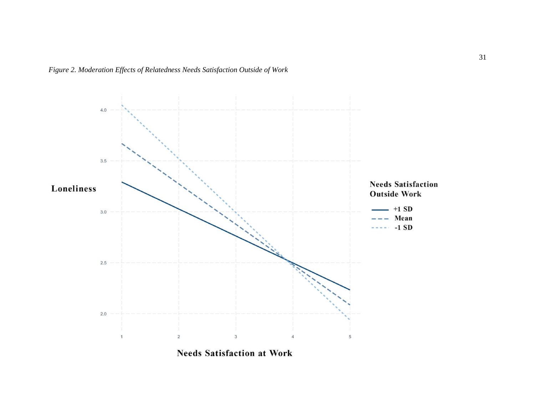<span id="page-36-0"></span>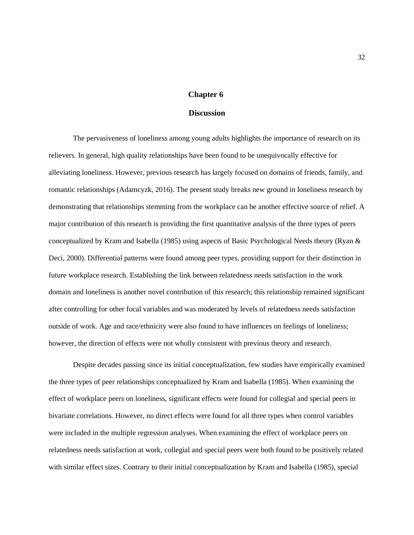### **Chapter 6**

#### **Discussion**

<span id="page-37-0"></span>The pervasiveness of loneliness among young adults highlights the importance of research on its relievers. In general, high quality relationships have been found to be unequivocally effective for alleviating loneliness. However, previous research has largely focused on domains of friends, family, and romantic relationships (Adamcyzk, 2016). The present study breaks new ground in loneliness research by demonstrating that relationships stemming from the workplace can be another effective source of relief. A major contribution of this research is providing the first quantitative analysis of the three types of peers conceptualized by Kram and Isabella (1985) using aspects of Basic Psychological Needs theory (Ryan & Deci, 2000). Differential patterns were found among peer types, providing support for their distinction in future workplace research. Establishing the link between relatedness needs satisfaction in the work domain and loneliness is another novel contribution of this research; this relationship remained significant after controlling for other focal variables and was moderated by levels of relatedness needs satisfaction outside of work. Age and race/ethnicity were also found to have influences on feelings of loneliness; however, the direction of effects were not wholly consistent with previous theory and research.

Despite decades passing since its initial conceptualization, few studies have empirically examined the three types of peer relationships conceptualized by Kram and Isabella (1985). When examining the effect of workplace peers on loneliness, significant effects were found for collegial and special peers in bivariate correlations. However, no direct effects were found for all three types when control variables were included in the multiple regression analyses. When examining the effect of workplace peers on relatedness needs satisfaction at work, collegial and special peers were both found to be positively related with similar effect sizes. Contrary to their initial conceptualization by Kram and Isabella (1985), special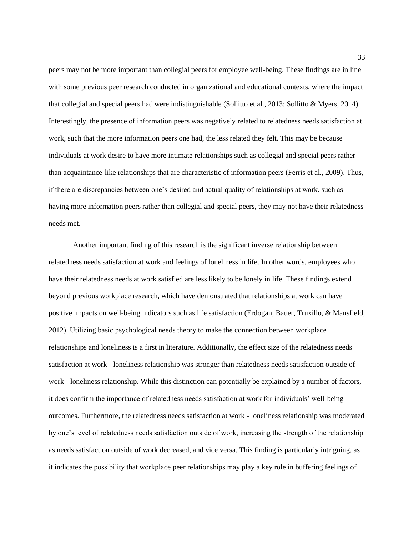peers may not be more important than collegial peers for employee well-being. These findings are in line with some previous peer research conducted in organizational and educational contexts, where the impact that collegial and special peers had were indistinguishable (Sollitto et al., 2013; Sollitto & Myers, 2014). Interestingly, the presence of information peers was negatively related to relatedness needs satisfaction at work, such that the more information peers one had, the less related they felt. This may be because individuals at work desire to have more intimate relationships such as collegial and special peers rather than acquaintance-like relationships that are characteristic of information peers (Ferris et al., 2009). Thus, if there are discrepancies between one's desired and actual quality of relationships at work, such as having more information peers rather than collegial and special peers, they may not have their relatedness needs met.

Another important finding of this research is the significant inverse relationship between relatedness needs satisfaction at work and feelings of loneliness in life. In other words, employees who have their relatedness needs at work satisfied are less likely to be lonely in life. These findings extend beyond previous workplace research, which have demonstrated that relationships at work can have positive impacts on well-being indicators such as life satisfaction (Erdogan, Bauer, Truxillo, & Mansfield, 2012). Utilizing basic psychological needs theory to make the connection between workplace relationships and loneliness is a first in literature. Additionally, the effect size of the relatedness needs satisfaction at work - loneliness relationship was stronger than relatedness needs satisfaction outside of work - loneliness relationship. While this distinction can potentially be explained by a number of factors, it does confirm the importance of relatedness needs satisfaction at work for individuals' well-being outcomes. Furthermore, the relatedness needs satisfaction at work - loneliness relationship was moderated by one's level of relatedness needs satisfaction outside of work, increasing the strength of the relationship as needs satisfaction outside of work decreased, and vice versa. This finding is particularly intriguing, as it indicates the possibility that workplace peer relationships may play a key role in buffering feelings of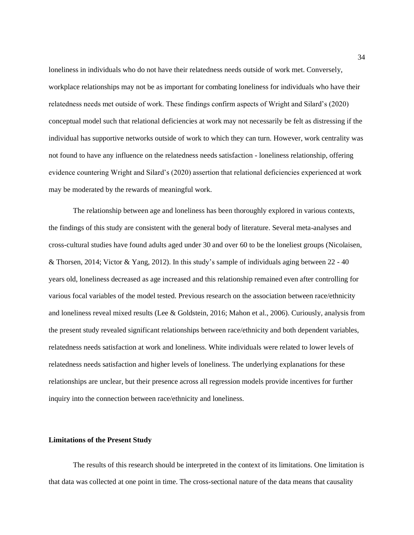loneliness in individuals who do not have their relatedness needs outside of work met. Conversely, workplace relationships may not be as important for combating loneliness for individuals who have their relatedness needs met outside of work. These findings confirm aspects of Wright and Silard's (2020) conceptual model such that relational deficiencies at work may not necessarily be felt as distressing if the individual has supportive networks outside of work to which they can turn. However, work centrality was not found to have any influence on the relatedness needs satisfaction - loneliness relationship, offering evidence countering Wright and Silard's (2020) assertion that relational deficiencies experienced at work may be moderated by the rewards of meaningful work.

The relationship between age and loneliness has been thoroughly explored in various contexts, the findings of this study are consistent with the general body of literature. Several meta-analyses and cross-cultural studies have found adults aged under 30 and over 60 to be the loneliest groups (Nicolaisen, & Thorsen, 2014; Victor & Yang, 2012). In this study's sample of individuals aging between 22 - 40 years old, loneliness decreased as age increased and this relationship remained even after controlling for various focal variables of the model tested. Previous research on the association between race/ethnicity and loneliness reveal mixed results (Lee & Goldstein, 2016; Mahon et al., 2006). Curiously, analysis from the present study revealed significant relationships between race/ethnicity and both dependent variables, relatedness needs satisfaction at work and loneliness. White individuals were related to lower levels of relatedness needs satisfaction and higher levels of loneliness. The underlying explanations for these relationships are unclear, but their presence across all regression models provide incentives for further inquiry into the connection between race/ethnicity and loneliness.

#### <span id="page-39-0"></span>**Limitations of the Present Study**

The results of this research should be interpreted in the context of its limitations. One limitation is that data was collected at one point in time. The cross-sectional nature of the data means that causality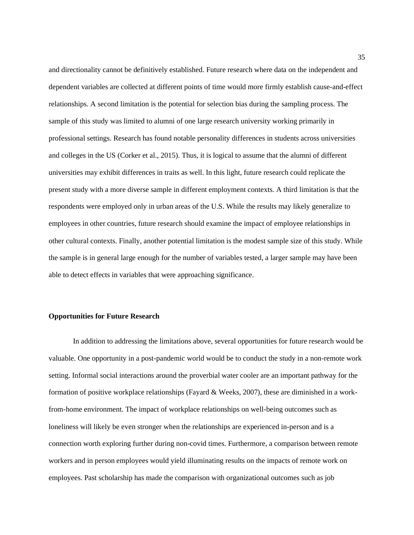and directionality cannot be definitively established. Future research where data on the independent and dependent variables are collected at different points of time would more firmly establish cause-and-effect relationships. A second limitation is the potential for selection bias during the sampling process. The sample of this study was limited to alumni of one large research university working primarily in professional settings. Research has found notable personality differences in students across universities and colleges in the US (Corker et al., 2015). Thus, it is logical to assume that the alumni of different universities may exhibit differences in traits as well. In this light, future research could replicate the present study with a more diverse sample in different employment contexts. A third limitation is that the respondents were employed only in urban areas of the U.S. While the results may likely generalize to employees in other countries, future research should examine the impact of employee relationships in other cultural contexts. Finally, another potential limitation is the modest sample size of this study. While the sample is in general large enough for the number of variables tested, a larger sample may have been able to detect effects in variables that were approaching significance.

### <span id="page-40-0"></span>**Opportunities for Future Research**

In addition to addressing the limitations above, several opportunities for future research would be valuable. One opportunity in a post-pandemic world would be to conduct the study in a non-remote work setting. Informal social interactions around the proverbial water cooler are an important pathway for the formation of positive workplace relationships (Fayard & Weeks, 2007), these are diminished in a workfrom-home environment. The impact of workplace relationships on well-being outcomes such as loneliness will likely be even stronger when the relationships are experienced in-person and is a connection worth exploring further during non-covid times. Furthermore, a comparison between remote workers and in person employees would yield illuminating results on the impacts of remote work on employees. Past scholarship has made the comparison with organizational outcomes such as job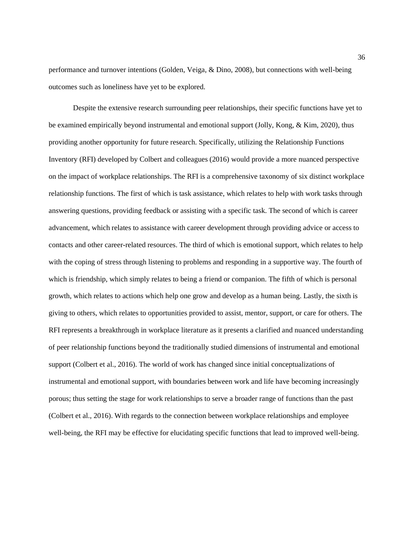performance and turnover intentions (Golden, Veiga, & Dino, 2008), but connections with well-being outcomes such as loneliness have yet to be explored.

Despite the extensive research surrounding peer relationships, their specific functions have yet to be examined empirically beyond instrumental and emotional support (Jolly, Kong, & Kim, 2020), thus providing another opportunity for future research. Specifically, utilizing the Relationship Functions Inventory (RFI) developed by Colbert and colleagues (2016) would provide a more nuanced perspective on the impact of workplace relationships. The RFI is a comprehensive taxonomy of six distinct workplace relationship functions. The first of which is task assistance, which relates to help with work tasks through answering questions, providing feedback or assisting with a specific task. The second of which is career advancement, which relates to assistance with career development through providing advice or access to contacts and other career-related resources. The third of which is emotional support, which relates to help with the coping of stress through listening to problems and responding in a supportive way. The fourth of which is friendship, which simply relates to being a friend or companion. The fifth of which is personal growth, which relates to actions which help one grow and develop as a human being. Lastly, the sixth is giving to others, which relates to opportunities provided to assist, mentor, support, or care for others. The RFI represents a breakthrough in workplace literature as it presents a clarified and nuanced understanding of peer relationship functions beyond the traditionally studied dimensions of instrumental and emotional support (Colbert et al., 2016). The world of work has changed since initial conceptualizations of instrumental and emotional support, with boundaries between work and life have becoming increasingly porous; thus setting the stage for work relationships to serve a broader range of functions than the past (Colbert et al., 2016). With regards to the connection between workplace relationships and employee well-being, the RFI may be effective for elucidating specific functions that lead to improved well-being.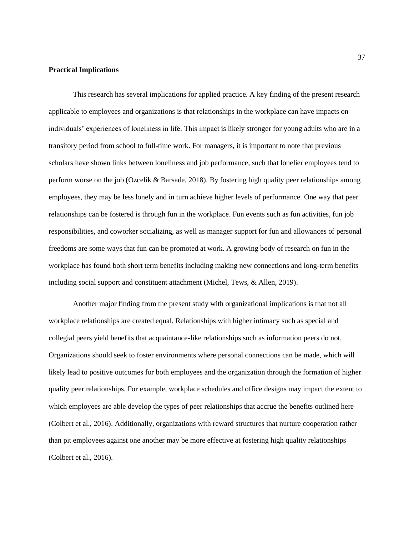#### <span id="page-42-0"></span>**Practical Implications**

This research has several implications for applied practice. A key finding of the present research applicable to employees and organizations is that relationships in the workplace can have impacts on individuals' experiences of loneliness in life. This impact is likely stronger for young adults who are in a transitory period from school to full-time work. For managers, it is important to note that previous scholars have shown links between loneliness and job performance, such that lonelier employees tend to perform worse on the job (Ozcelik & Barsade, 2018). By fostering high quality peer relationships among employees, they may be less lonely and in turn achieve higher levels of performance. One way that peer relationships can be fostered is through fun in the workplace. Fun events such as fun activities, fun job responsibilities, and coworker socializing, as well as manager support for fun and allowances of personal freedoms are some ways that fun can be promoted at work. A growing body of research on fun in the workplace has found both short term benefits including making new connections and long-term benefits including social support and constituent attachment (Michel, Tews, & Allen, 2019).

Another major finding from the present study with organizational implications is that not all workplace relationships are created equal. Relationships with higher intimacy such as special and collegial peers yield benefits that acquaintance-like relationships such as information peers do not. Organizations should seek to foster environments where personal connections can be made, which will likely lead to positive outcomes for both employees and the organization through the formation of higher quality peer relationships. For example, workplace schedules and office designs may impact the extent to which employees are able develop the types of peer relationships that accrue the benefits outlined here (Colbert et al., 2016). Additionally, organizations with reward structures that nurture cooperation rather than pit employees against one another may be more effective at fostering high quality relationships (Colbert et al., 2016).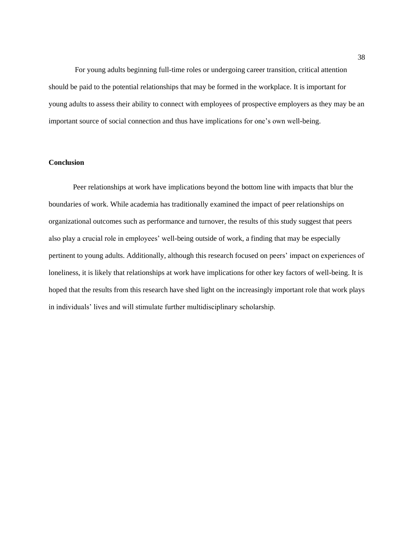For young adults beginning full-time roles or undergoing career transition, critical attention should be paid to the potential relationships that may be formed in the workplace. It is important for young adults to assess their ability to connect with employees of prospective employers as they may be an important source of social connection and thus have implications for one's own well-being.

#### <span id="page-43-0"></span>**Conclusion**

Peer relationships at work have implications beyond the bottom line with impacts that blur the boundaries of work. While academia has traditionally examined the impact of peer relationships on organizational outcomes such as performance and turnover, the results of this study suggest that peers also play a crucial role in employees' well-being outside of work, a finding that may be especially pertinent to young adults. Additionally, although this research focused on peers' impact on experiences of loneliness, it is likely that relationships at work have implications for other key factors of well-being. It is hoped that the results from this research have shed light on the increasingly important role that work plays in individuals' lives and will stimulate further multidisciplinary scholarship.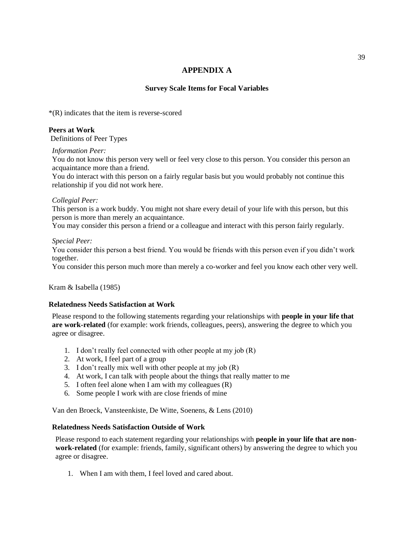# **APPENDIX A**

### **Survey Scale Items for Focal Variables**

<span id="page-44-0"></span>\*(R) indicates that the item is reverse-scored

### **Peers at Work**

Definitions of Peer Types

### *Information Peer:*

You do not know this person very well or feel very close to this person. You consider this person an acquaintance more than a friend.

You do interact with this person on a fairly regular basis but you would probably not continue this relationship if you did not work here.

### *Collegial Peer:*

This person is a work buddy. You might not share every detail of your life with this person, but this person is more than merely an acquaintance.

You may consider this person a friend or a colleague and interact with this person fairly regularly.

### *Special Peer:*

You consider this person a best friend. You would be friends with this person even if you didn't work together.

You consider this person much more than merely a co-worker and feel you know each other very well.

Kram & Isabella (1985)

### **Relatedness Needs Satisfaction at Work**

Please respond to the following statements regarding your relationships with **people in your life that are work-related** (for example: work friends, colleagues, peers), answering the degree to which you agree or disagree.

- 1. I don't really feel connected with other people at my job (R)
- 2. At work, I feel part of a group
- 3. I don't really mix well with other people at my job (R)
- 4. At work, I can talk with people about the things that really matter to me
- 5. I often feel alone when I am with my colleagues (R)
- 6. Some people I work with are close friends of mine

Van den Broeck, Vansteenkiste, De Witte, Soenens, & Lens (2010)

### **Relatedness Needs Satisfaction Outside of Work**

Please respond to each statement regarding your relationships with **people in your life that are nonwork-related** (for example: friends, family, significant others) by answering the degree to which you agree or disagree.

1. When I am with them, I feel loved and cared about.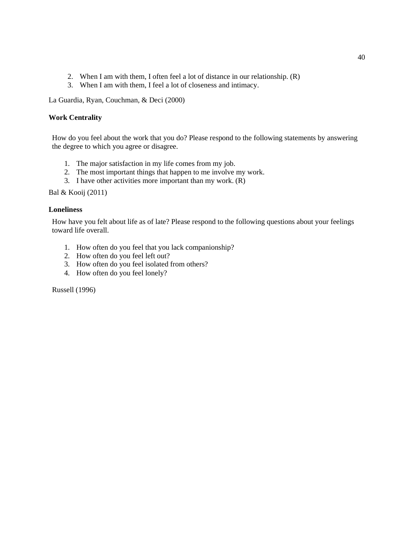- 2. When I am with them, I often feel a lot of distance in our relationship. (R)
- 3. When I am with them, I feel a lot of closeness and intimacy.

La Guardia, Ryan, Couchman, & Deci (2000)

### **Work Centrality**

How do you feel about the work that you do? Please respond to the following statements by answering the degree to which you agree or disagree.

- 1. The major satisfaction in my life comes from my job.
- 2. The most important things that happen to me involve my work.
- 3. I have other activities more important than my work. (R)

Bal & Kooij (2011)

### **Loneliness**

How have you felt about life as of late? Please respond to the following questions about your feelings toward life overall.

- 1. How often do you feel that you lack companionship?
- 2. How often do you feel left out?
- 3. How often do you feel isolated from others?
- 4. How often do you feel lonely?

Russell (1996)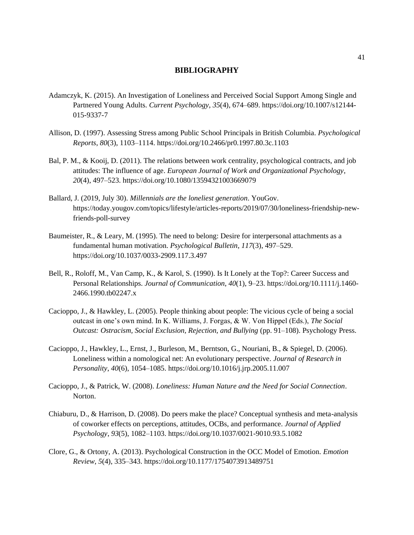### **BIBLIOGRAPHY**

- <span id="page-46-0"></span>Adamczyk, K. (2015). An Investigation of Loneliness and Perceived Social Support Among Single and Partnered Young Adults. *Current Psychology*, *35*(4), 674–689. https://doi.org/10.1007/s12144- 015-9337-7
- Allison, D. (1997). Assessing Stress among Public School Principals in British Columbia. *Psychological Reports*, *80*(3), 1103–1114. https://doi.org/10.2466/pr0.1997.80.3c.1103
- Bal, P. M., & Kooij, D. (2011). The relations between work centrality, psychological contracts, and job attitudes: The influence of age. *European Journal of Work and Organizational Psychology*, *20*(4), 497–523. https://doi.org/10.1080/13594321003669079
- Ballard, J. (2019, July 30). *Millennials are the loneliest generation*. YouGov. https://today.yougov.com/topics/lifestyle/articles-reports/2019/07/30/loneliness-friendship-newfriends-poll-survey
- Baumeister, R., & Leary, M. (1995). The need to belong: Desire for interpersonal attachments as a fundamental human motivation. *Psychological Bulletin*, *117*(3), 497–529. https://doi.org/10.1037/0033-2909.117.3.497
- Bell, R., Roloff, M., Van Camp, K., & Karol, S. (1990). Is It Lonely at the Top?: Career Success and Personal Relationships. *Journal of Communication*, *40*(1), 9–23. https://doi.org/10.1111/j.1460- 2466.1990.tb02247.x
- Cacioppo, J., & Hawkley, L. (2005). People thinking about people: The vicious cycle of being a social outcast in one's own mind. In K. Williams, J. Forgas, & W. Von Hippel (Eds.), *The Social Outcast: Ostracism, Social Exclusion, Rejection, and Bullying* (pp. 91–108). Psychology Press.
- Cacioppo, J., Hawkley, L., Ernst, J., Burleson, M., Berntson, G., Nouriani, B., & Spiegel, D. (2006). Loneliness within a nomological net: An evolutionary perspective. *Journal of Research in Personality*, *40*(6), 1054–1085. https://doi.org/10.1016/j.jrp.2005.11.007
- Cacioppo, J., & Patrick, W. (2008). *Loneliness: Human Nature and the Need for Social Connection*. Norton.
- Chiaburu, D., & Harrison, D. (2008). Do peers make the place? Conceptual synthesis and meta-analysis of coworker effects on perceptions, attitudes, OCBs, and performance. *Journal of Applied Psychology*, *93*(5), 1082–1103. https://doi.org/10.1037/0021-9010.93.5.1082
- Clore, G., & Ortony, A. (2013). Psychological Construction in the OCC Model of Emotion. *Emotion Review*, *5*(4), 335–343. https://doi.org/10.1177/1754073913489751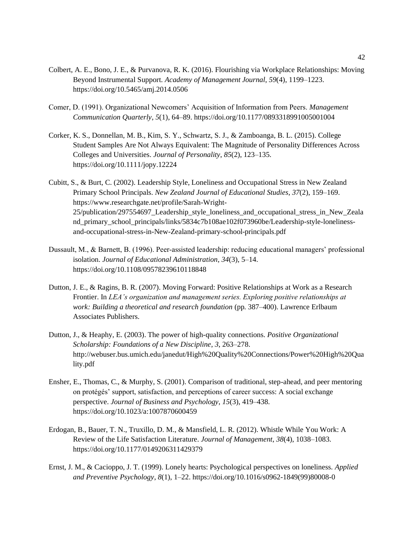- Colbert, A. E., Bono, J. E., & Purvanova, R. K. (2016). Flourishing via Workplace Relationships: Moving Beyond Instrumental Support. *Academy of Management Journal*, *59*(4), 1199–1223. https://doi.org/10.5465/amj.2014.0506
- Comer, D. (1991). Organizational Newcomers' Acquisition of Information from Peers. *Management Communication Quarterly*, *5*(1), 64–89. https://doi.org/10.1177/0893318991005001004
- Corker, K. S., Donnellan, M. B., Kim, S. Y., Schwartz, S. J., & Zamboanga, B. L. (2015). College Student Samples Are Not Always Equivalent: The Magnitude of Personality Differences Across Colleges and Universities. *Journal of Personality*, *85*(2), 123–135. https://doi.org/10.1111/jopy.12224
- Cubitt, S., & Burt, C. (2002). Leadership Style, Loneliness and Occupational Stress in New Zealand Primary School Principals. *New Zealand Journal of Educational Studies*, *37*(2), 159–169. https://www.researchgate.net/profile/Sarah-Wright-25/publication/297554697\_Leadership\_style\_loneliness\_and\_occupational\_stress\_in\_New\_Zeala nd\_primary\_school\_principals/links/5834c7b108ae102f073960be/Leadership-style-lonelinessand-occupational-stress-in-New-Zealand-primary-school-principals.pdf
- Dussault, M., & Barnett, B. (1996). Peer-assisted leadership: reducing educational managers' professional isolation. *Journal of Educational Administration*, *34*(3), 5–14. https://doi.org/10.1108/09578239610118848
- Dutton, J. E., & Ragins, B. R. (2007). Moving Forward: Positive Relationships at Work as a Research Frontier. In *LEA's organization and management series. Exploring positive relationships at work: Building a theoretical and research foundation* (pp. 387–400). Lawrence Erlbaum Associates Publishers.
- Dutton, J., & Heaphy, E. (2003). The power of high-quality connections. *Positive Organizational Scholarship: Foundations of a New Discipline*, *3*, 263–278. http://webuser.bus.umich.edu/janedut/High%20Quality%20Connections/Power%20High%20Qua lity.pdf
- Ensher, E., Thomas, C., & Murphy, S. (2001). Comparison of traditional, step-ahead, and peer mentoring on protégés' support, satisfaction, and perceptions of career success: A social exchange perspective. *Journal of Business and Psychology*, *15*(3), 419–438. https://doi.org/10.1023/a:1007870600459
- Erdogan, B., Bauer, T. N., Truxillo, D. M., & Mansfield, L. R. (2012). Whistle While You Work: A Review of the Life Satisfaction Literature. *Journal of Management*, *38*(4), 1038–1083. https://doi.org/10.1177/0149206311429379
- Ernst, J. M., & Cacioppo, J. T. (1999). Lonely hearts: Psychological perspectives on loneliness. *Applied and Preventive Psychology*, *8*(1), 1–22. https://doi.org/10.1016/s0962-1849(99)80008-0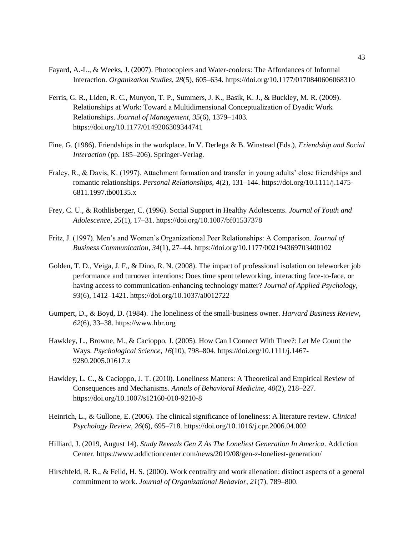- Fayard, A.-L., & Weeks, J. (2007). Photocopiers and Water-coolers: The Affordances of Informal Interaction. *Organization Studies*, *28*(5), 605–634. https://doi.org/10.1177/0170840606068310
- Ferris, G. R., Liden, R. C., Munyon, T. P., Summers, J. K., Basik, K. J., & Buckley, M. R. (2009). Relationships at Work: Toward a Multidimensional Conceptualization of Dyadic Work Relationships. *Journal of Management*, *35*(6), 1379–1403. https://doi.org/10.1177/0149206309344741
- Fine, G. (1986). Friendships in the workplace. In V. Derlega & B. Winstead (Eds.), *Friendship and Social Interaction* (pp. 185–206). Springer-Verlag.
- Fraley, R., & Davis, K. (1997). Attachment formation and transfer in young adults' close friendships and romantic relationships. *Personal Relationships*, *4*(2), 131–144. https://doi.org/10.1111/j.1475- 6811.1997.tb00135.x
- Frey, C. U., & Rothlisberger, C. (1996). Social Support in Healthy Adolescents. *Journal of Youth and Adolescence*, *25*(1), 17–31. https://doi.org/10.1007/bf01537378
- Fritz, J. (1997). Men's and Women's Organizational Peer Relationships: A Comparison. *Journal of Business Communication*, *34*(1), 27–44. https://doi.org/10.1177/002194369703400102
- Golden, T. D., Veiga, J. F., & Dino, R. N. (2008). The impact of professional isolation on teleworker job performance and turnover intentions: Does time spent teleworking, interacting face-to-face, or having access to communication-enhancing technology matter? *Journal of Applied Psychology*, *93*(6), 1412–1421. https://doi.org/10.1037/a0012722
- Gumpert, D., & Boyd, D. (1984). The loneliness of the small-business owner. *Harvard Business Review*, *62*(6), 33–38. https://www.hbr.org
- Hawkley, L., Browne, M., & Cacioppo, J. (2005). How Can I Connect With Thee?: Let Me Count the Ways. *Psychological Science*, *16*(10), 798–804. https://doi.org/10.1111/j.1467- 9280.2005.01617.x
- Hawkley, L. C., & Cacioppo, J. T. (2010). Loneliness Matters: A Theoretical and Empirical Review of Consequences and Mechanisms. *Annals of Behavioral Medicine*, *40*(2), 218–227. https://doi.org/10.1007/s12160-010-9210-8
- Heinrich, L., & Gullone, E. (2006). The clinical significance of loneliness: A literature review. *Clinical Psychology Review*, *26*(6), 695–718. https://doi.org/10.1016/j.cpr.2006.04.002
- Hilliard, J. (2019, August 14). *Study Reveals Gen Z As The Loneliest Generation In America*. Addiction Center. https://www.addictioncenter.com/news/2019/08/gen-z-loneliest-generation/
- Hirschfeld, R. R., & Feild, H. S. (2000). Work centrality and work alienation: distinct aspects of a general commitment to work. *Journal of Organizational Behavior*, *21*(7), 789–800.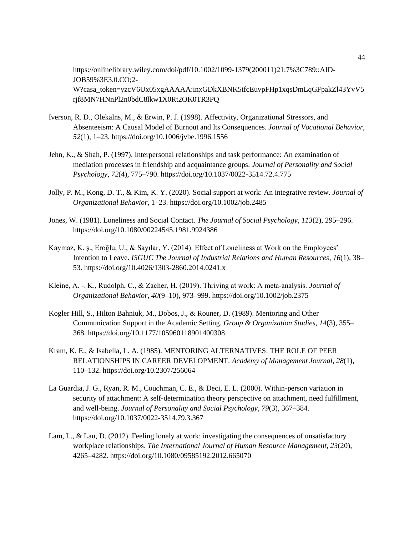https://onlinelibrary.wiley.com/doi/pdf/10.1002/1099-1379(200011)21:7%3C789::AID-JOB59%3E3.0.CO;2- W?casa\_token=yzcV6Ux05xgAAAAA:inxGDkXBNK5tfcEuvpFHp1xqsDmLqGFpakZl43YvV5 rjf8MN7HNnPl2n0bdC8lkw1X0Rt2OK0TR3PQ

- Iverson, R. D., Olekalns, M., & Erwin, P. J. (1998). Affectivity, Organizational Stressors, and Absenteeism: A Causal Model of Burnout and Its Consequences. *Journal of Vocational Behavior*, *52*(1), 1–23. https://doi.org/10.1006/jvbe.1996.1556
- Jehn, K., & Shah, P. (1997). Interpersonal relationships and task performance: An examination of mediation processes in friendship and acquaintance groups. *Journal of Personality and Social Psychology*, *72*(4), 775–790. https://doi.org/10.1037/0022-3514.72.4.775
- Jolly, P. M., Kong, D. T., & Kim, K. Y. (2020). Social support at work: An integrative review. *Journal of Organizational Behavior*, 1–23. https://doi.org/10.1002/job.2485
- Jones, W. (1981). Loneliness and Social Contact. *The Journal of Social Psychology*, *113*(2), 295–296. https://doi.org/10.1080/00224545.1981.9924386
- Kaymaz, K. ş., Eroğlu, U., & Sayılar, Y. (2014). Effect of Loneliness at Work on the Employees' Intention to Leave. *ISGUC The Journal of Industrial Relations and Human Resources*, *16*(1), 38– 53. https://doi.org/10.4026/1303-2860.2014.0241.x
- Kleine, A. -. K., Rudolph, C., & Zacher, H. (2019). Thriving at work: A meta-analysis. *Journal of Organizational Behavior*, *40*(9–10), 973–999. https://doi.org/10.1002/job.2375
- Kogler Hill, S., Hilton Bahniuk, M., Dobos, J., & Rouner, D. (1989). Mentoring and Other Communication Support in the Academic Setting. *Group & Organization Studies*, *14*(3), 355– 368. https://doi.org/10.1177/105960118901400308
- Kram, K. E., & Isabella, L. A. (1985). MENTORING ALTERNATIVES: THE ROLE OF PEER RELATIONSHIPS IN CAREER DEVELOPMENT. *Academy of Management Journal*, *28*(1), 110–132. https://doi.org/10.2307/256064
- La Guardia, J. G., Ryan, R. M., Couchman, C. E., & Deci, E. L. (2000). Within-person variation in security of attachment: A self-determination theory perspective on attachment, need fulfillment, and well-being. *Journal of Personality and Social Psychology*, *79*(3), 367–384. https://doi.org/10.1037/0022-3514.79.3.367
- Lam, L., & Lau, D. (2012). Feeling lonely at work: investigating the consequences of unsatisfactory workplace relationships. *The International Journal of Human Resource Management*, *23*(20), 4265–4282. https://doi.org/10.1080/09585192.2012.665070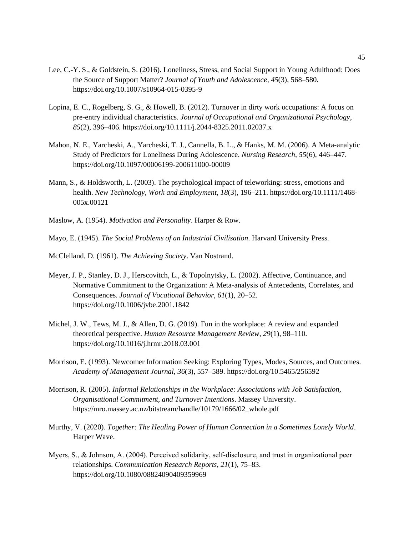- Lee, C.-Y. S., & Goldstein, S. (2016). Loneliness, Stress, and Social Support in Young Adulthood: Does the Source of Support Matter? *Journal of Youth and Adolescence*, *45*(3), 568–580. https://doi.org/10.1007/s10964-015-0395-9
- Lopina, E. C., Rogelberg, S. G., & Howell, B. (2012). Turnover in dirty work occupations: A focus on pre-entry individual characteristics. *Journal of Occupational and Organizational Psychology*, *85*(2), 396–406. https://doi.org/10.1111/j.2044-8325.2011.02037.x
- Mahon, N. E., Yarcheski, A., Yarcheski, T. J., Cannella, B. L., & Hanks, M. M. (2006). A Meta-analytic Study of Predictors for Loneliness During Adolescence. *Nursing Research*, *55*(6), 446–447. https://doi.org/10.1097/00006199-200611000-00009
- Mann, S., & Holdsworth, L. (2003). The psychological impact of teleworking: stress, emotions and health. *New Technology, Work and Employment*, *18*(3), 196–211. https://doi.org/10.1111/1468- 005x.00121
- Maslow, A. (1954). *Motivation and Personality*. Harper & Row.

Mayo, E. (1945). *The Social Problems of an Industrial Civilisation*. Harvard University Press.

- McClelland, D. (1961). *The Achieving Society*. Van Nostrand.
- Meyer, J. P., Stanley, D. J., Herscovitch, L., & Topolnytsky, L. (2002). Affective, Continuance, and Normative Commitment to the Organization: A Meta-analysis of Antecedents, Correlates, and Consequences. *Journal of Vocational Behavior*, *61*(1), 20–52. https://doi.org/10.1006/jvbe.2001.1842
- Michel, J. W., Tews, M. J., & Allen, D. G. (2019). Fun in the workplace: A review and expanded theoretical perspective. *Human Resource Management Review*, *29*(1), 98–110. https://doi.org/10.1016/j.hrmr.2018.03.001
- Morrison, E. (1993). Newcomer Information Seeking: Exploring Types, Modes, Sources, and Outcomes. *Academy of Management Journal*, *36*(3), 557–589. https://doi.org/10.5465/256592
- Morrison, R. (2005). *Informal Relationships in the Workplace: Associations with Job Satisfaction, Organisational Commitment, and Turnover Intentions*. Massey University. https://mro.massey.ac.nz/bitstream/handle/10179/1666/02\_whole.pdf
- Murthy, V. (2020). *Together: The Healing Power of Human Connection in a Sometimes Lonely World*. Harper Wave.
- Myers, S., & Johnson, A. (2004). Perceived solidarity, self-disclosure, and trust in organizational peer relationships. *Communication Research Reports*, *21*(1), 75–83. https://doi.org/10.1080/08824090409359969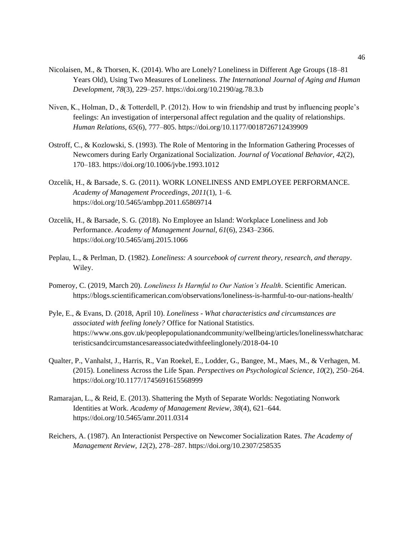- Nicolaisen, M., & Thorsen, K. (2014). Who are Lonely? Loneliness in Different Age Groups (18–81 Years Old), Using Two Measures of Loneliness. *The International Journal of Aging and Human Development*, *78*(3), 229–257. https://doi.org/10.2190/ag.78.3.b
- Niven, K., Holman, D., & Totterdell, P. (2012). How to win friendship and trust by influencing people's feelings: An investigation of interpersonal affect regulation and the quality of relationships. *Human Relations*, *65*(6), 777–805. https://doi.org/10.1177/0018726712439909
- Ostroff, C., & Kozlowski, S. (1993). The Role of Mentoring in the Information Gathering Processes of Newcomers during Early Organizational Socialization. *Journal of Vocational Behavior*, *42*(2), 170–183. https://doi.org/10.1006/jvbe.1993.1012
- Ozcelik, H., & Barsade, S. G. (2011). WORK LONELINESS AND EMPLOYEE PERFORMANCE. *Academy of Management Proceedings*, *2011*(1), 1–6. https://doi.org/10.5465/ambpp.2011.65869714
- Ozcelik, H., & Barsade, S. G. (2018). No Employee an Island: Workplace Loneliness and Job Performance. *Academy of Management Journal*, *61*(6), 2343–2366. https://doi.org/10.5465/amj.2015.1066
- Peplau, L., & Perlman, D. (1982). *Loneliness: A sourcebook of current theory, research, and therapy*. Wiley.
- Pomeroy, C. (2019, March 20). *Loneliness Is Harmful to Our Nation's Health*. Scientific American. https://blogs.scientificamerican.com/observations/loneliness-is-harmful-to-our-nations-health/
- Pyle, E., & Evans, D. (2018, April 10). *Loneliness - What characteristics and circumstances are associated with feeling lonely?* Office for National Statistics. https://www.ons.gov.uk/peoplepopulationandcommunity/wellbeing/articles/lonelinesswhatcharac teristicsandcircumstancesareassociatedwithfeelinglonely/2018-04-10
- Qualter, P., Vanhalst, J., Harris, R., Van Roekel, E., Lodder, G., Bangee, M., Maes, M., & Verhagen, M. (2015). Loneliness Across the Life Span. *Perspectives on Psychological Science*, *10*(2), 250–264. https://doi.org/10.1177/1745691615568999
- Ramarajan, L., & Reid, E. (2013). Shattering the Myth of Separate Worlds: Negotiating Nonwork Identities at Work. *Academy of Management Review*, *38*(4), 621–644. https://doi.org/10.5465/amr.2011.0314
- Reichers, A. (1987). An Interactionist Perspective on Newcomer Socialization Rates. *The Academy of Management Review*, *12*(2), 278–287. https://doi.org/10.2307/258535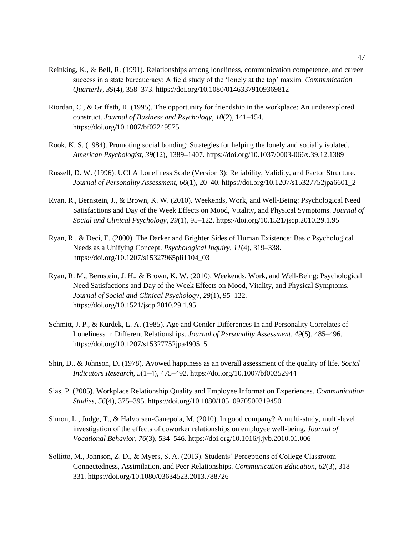- Reinking, K., & Bell, R. (1991). Relationships among loneliness, communication competence, and career success in a state bureaucracy: A field study of the 'lonely at the top' maxim. *Communication Quarterly*, *39*(4), 358–373. https://doi.org/10.1080/01463379109369812
- Riordan, C., & Griffeth, R. (1995). The opportunity for friendship in the workplace: An underexplored construct. *Journal of Business and Psychology*, *10*(2), 141–154. https://doi.org/10.1007/bf02249575
- Rook, K. S. (1984). Promoting social bonding: Strategies for helping the lonely and socially isolated. *American Psychologist*, *39*(12), 1389–1407. https://doi.org/10.1037/0003-066x.39.12.1389
- Russell, D. W. (1996). UCLA Loneliness Scale (Version 3): Reliability, Validity, and Factor Structure. *Journal of Personality Assessment*, *66*(1), 20–40. https://doi.org/10.1207/s15327752jpa6601\_2
- Ryan, R., Bernstein, J., & Brown, K. W. (2010). Weekends, Work, and Well-Being: Psychological Need Satisfactions and Day of the Week Effects on Mood, Vitality, and Physical Symptoms. *Journal of Social and Clinical Psychology*, *29*(1), 95–122. https://doi.org/10.1521/jscp.2010.29.1.95
- Ryan, R., & Deci, E. (2000). The Darker and Brighter Sides of Human Existence: Basic Psychological Needs as a Unifying Concept. *Psychological Inquiry*, *11*(4), 319–338. https://doi.org/10.1207/s15327965pli1104\_03
- Ryan, R. M., Bernstein, J. H., & Brown, K. W. (2010). Weekends, Work, and Well-Being: Psychological Need Satisfactions and Day of the Week Effects on Mood, Vitality, and Physical Symptoms. *Journal of Social and Clinical Psychology*, *29*(1), 95–122. https://doi.org/10.1521/jscp.2010.29.1.95
- Schmitt, J. P., & Kurdek, L. A. (1985). Age and Gender Differences In and Personality Correlates of Loneliness in Different Relationships. *Journal of Personality Assessment*, *49*(5), 485–496. https://doi.org/10.1207/s15327752jpa4905\_5
- Shin, D., & Johnson, D. (1978). Avowed happiness as an overall assessment of the quality of life. *Social Indicators Research*, *5*(1–4), 475–492. https://doi.org/10.1007/bf00352944
- Sias, P. (2005). Workplace Relationship Quality and Employee Information Experiences. *Communication Studies*, *56*(4), 375–395. https://doi.org/10.1080/10510970500319450
- Simon, L., Judge, T., & Halvorsen-Ganepola, M. (2010). In good company? A multi-study, multi-level investigation of the effects of coworker relationships on employee well-being. *Journal of Vocational Behavior*, *76*(3), 534–546. https://doi.org/10.1016/j.jvb.2010.01.006
- Sollitto, M., Johnson, Z. D., & Myers, S. A. (2013). Students' Perceptions of College Classroom Connectedness, Assimilation, and Peer Relationships. *Communication Education*, *62*(3), 318– 331. https://doi.org/10.1080/03634523.2013.788726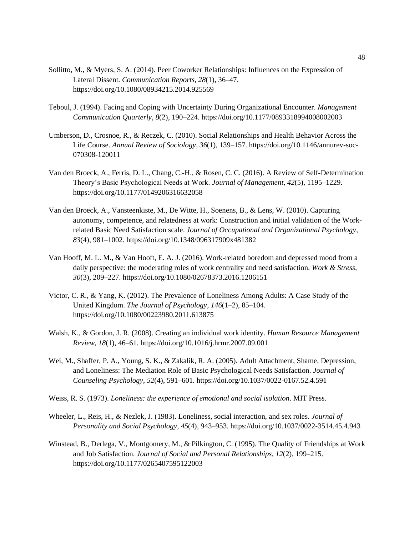- Sollitto, M., & Myers, S. A. (2014). Peer Coworker Relationships: Influences on the Expression of Lateral Dissent. *Communication Reports*, *28*(1), 36–47. https://doi.org/10.1080/08934215.2014.925569
- Teboul, J. (1994). Facing and Coping with Uncertainty During Organizational Encounter. *Management Communication Quarterly*, *8*(2), 190–224. https://doi.org/10.1177/0893318994008002003
- Umberson, D., Crosnoe, R., & Reczek, C. (2010). Social Relationships and Health Behavior Across the Life Course. *Annual Review of Sociology*, *36*(1), 139–157. https://doi.org/10.1146/annurev-soc-070308-120011
- Van den Broeck, A., Ferris, D. L., Chang, C.-H., & Rosen, C. C. (2016). A Review of Self-Determination Theory's Basic Psychological Needs at Work. *Journal of Management*, *42*(5), 1195–1229. https://doi.org/10.1177/0149206316632058
- Van den Broeck, A., Vansteenkiste, M., De Witte, H., Soenens, B., & Lens, W. (2010). Capturing autonomy, competence, and relatedness at work: Construction and initial validation of the Workrelated Basic Need Satisfaction scale. *Journal of Occupational and Organizational Psychology*, *83*(4), 981–1002. https://doi.org/10.1348/096317909x481382
- Van Hooff, M. L. M., & Van Hooft, E. A. J. (2016). Work-related boredom and depressed mood from a daily perspective: the moderating roles of work centrality and need satisfaction. *Work & Stress*, *30*(3), 209–227. https://doi.org/10.1080/02678373.2016.1206151
- Victor, C. R., & Yang, K. (2012). The Prevalence of Loneliness Among Adults: A Case Study of the United Kingdom. *The Journal of Psychology*, *146*(1–2), 85–104. https://doi.org/10.1080/00223980.2011.613875
- Walsh, K., & Gordon, J. R. (2008). Creating an individual work identity. *Human Resource Management Review*, *18*(1), 46–61. https://doi.org/10.1016/j.hrmr.2007.09.001
- Wei, M., Shaffer, P. A., Young, S. K., & Zakalik, R. A. (2005). Adult Attachment, Shame, Depression, and Loneliness: The Mediation Role of Basic Psychological Needs Satisfaction. *Journal of Counseling Psychology*, *52*(4), 591–601. https://doi.org/10.1037/0022-0167.52.4.591
- Weiss, R. S. (1973). *Loneliness: the experience of emotional and social isolation*. MIT Press.
- Wheeler, L., Reis, H., & Nezlek, J. (1983). Loneliness, social interaction, and sex roles. *Journal of Personality and Social Psychology*, *45*(4), 943–953. https://doi.org/10.1037/0022-3514.45.4.943
- Winstead, B., Derlega, V., Montgomery, M., & Pilkington, C. (1995). The Quality of Friendships at Work and Job Satisfaction. *Journal of Social and Personal Relationships*, *12*(2), 199–215. https://doi.org/10.1177/0265407595122003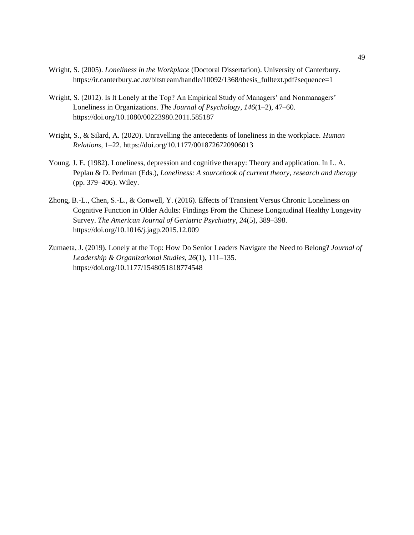- Wright, S. (2005). *Loneliness in the Workplace* (Doctoral Dissertation). University of Canterbury. https://ir.canterbury.ac.nz/bitstream/handle/10092/1368/thesis\_fulltext.pdf?sequence=1
- Wright, S. (2012). Is It Lonely at the Top? An Empirical Study of Managers' and Nonmanagers' Loneliness in Organizations. *The Journal of Psychology*, *146*(1–2), 47–60. https://doi.org/10.1080/00223980.2011.585187
- Wright, S., & Silard, A. (2020). Unravelling the antecedents of loneliness in the workplace. *Human Relations*, 1–22. https://doi.org/10.1177/0018726720906013
- Young, J. E. (1982). Loneliness, depression and cognitive therapy: Theory and application. In L. A. Peplau & D. Perlman (Eds.), *Loneliness: A sourcebook of current theory, research and therapy* (pp. 379–406). Wiley.
- Zhong, B.-L., Chen, S.-L., & Conwell, Y. (2016). Effects of Transient Versus Chronic Loneliness on Cognitive Function in Older Adults: Findings From the Chinese Longitudinal Healthy Longevity Survey. *The American Journal of Geriatric Psychiatry*, *24*(5), 389–398. https://doi.org/10.1016/j.jagp.2015.12.009
- Zumaeta, J. (2019). Lonely at the Top: How Do Senior Leaders Navigate the Need to Belong? *Journal of Leadership & Organizational Studies*, *26*(1), 111–135. https://doi.org/10.1177/1548051818774548